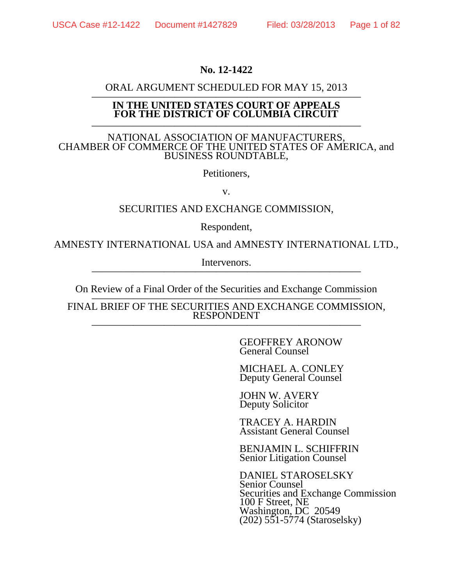## **No. 12-1422**

# **ORAL ARGUMENT SCHEDULED FOR MAY 15, 2013**<br>IN THE UNITED STATES COURT OF APPEALS

## **FOR THE DISTRICT OF COLUMBIA CIRCUIT**

——————————————————————————

#### NATIONAL ASSOCIATION OF MANUFACTURERS, CHAMBER OF COMMERCE OF THE UNITED STATES OF AMERICA, and BUSINESS ROUNDTABLE,

Petitioners,

v.

## SECURITIES AND EXCHANGE COMMISSION,

Respondent,

AMNESTY INTERNATIONAL USA and AMNESTY INTERNATIONAL LTD.,

Intervenors.

On Review of a Final Order of the Securities and Exchange Commission FINAL BRIEF OF THE SECURITIES AND EXCHANGE COMMISSION, **RESPONDENT** 

> GEOFFREY ARONOW General Counsel

> MICHAEL A. CONLEY Deputy General Counsel

JOHN W. AVERY Deputy Solicitor

TRACEY A. HARDIN Assistant General Counsel

BENJAMIN L. SCHIFFRIN Senior Litigation Counsel

DANIEL STAROSELSKY Senior Counsel Securities and Exchange Commission 100 F Street, NE Washington, DC 20549 (202) 551-5774 (Staroselsky)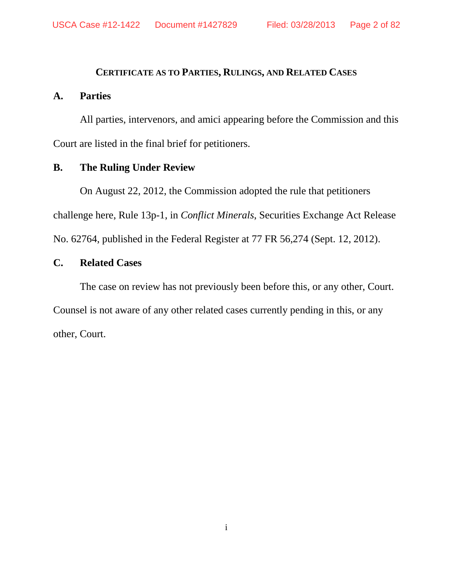## **CERTIFICATE AS TO PARTIES, RULINGS, AND RELATED CASES**

## **A. Parties**

All parties, intervenors, and amici appearing before the Commission and this Court are listed in the final brief for petitioners.

## **B. The Ruling Under Review**

On August 22, 2012, the Commission adopted the rule that petitioners challenge here, Rule 13p-1, in *Conflict Minerals*, Securities Exchange Act Release No. 62764, published in the Federal Register at 77 FR 56,274 (Sept. 12, 2012).

## **C. Related Cases**

The case on review has not previously been before this, or any other, Court. Counsel is not aware of any other related cases currently pending in this, or any other, Court.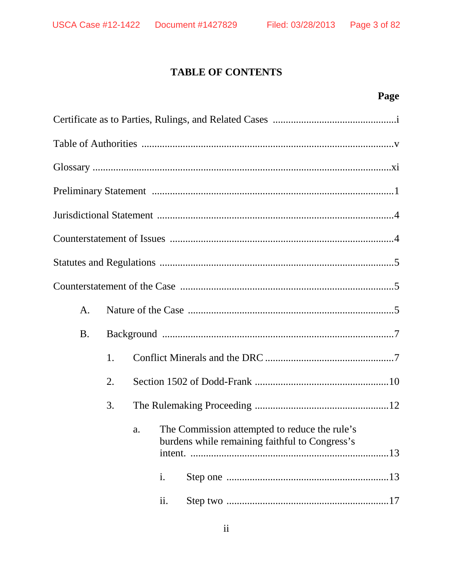## **TABLE OF CONTENTS**

## Page

| A.        |    |    |                                                                                                 |  |
|-----------|----|----|-------------------------------------------------------------------------------------------------|--|
| <b>B.</b> |    |    |                                                                                                 |  |
|           | 1. |    |                                                                                                 |  |
|           | 2. |    |                                                                                                 |  |
|           | 3. |    |                                                                                                 |  |
|           |    | a. | The Commission attempted to reduce the rule's<br>burdens while remaining faithful to Congress's |  |
|           |    |    | i.                                                                                              |  |
|           |    |    | ii.                                                                                             |  |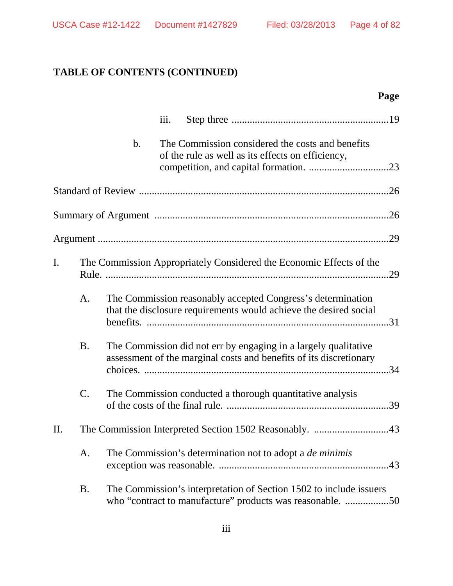## **TABLE OF CONTENTS (CONTINUED)**

## **Page**

|                |                 |    | iii. |                                                                                                                                       |     |
|----------------|-----------------|----|------|---------------------------------------------------------------------------------------------------------------------------------------|-----|
|                |                 | b. |      | The Commission considered the costs and benefits<br>of the rule as well as its effects on efficiency,                                 |     |
|                |                 |    |      |                                                                                                                                       |     |
|                |                 |    |      |                                                                                                                                       |     |
|                |                 |    |      |                                                                                                                                       | .29 |
| $\mathbf{I}$ . |                 |    |      | The Commission Appropriately Considered the Economic Effects of the                                                                   |     |
|                | A.              |    |      | The Commission reasonably accepted Congress's determination<br>that the disclosure requirements would achieve the desired social      |     |
|                | <b>B.</b>       |    |      | The Commission did not err by engaging in a largely qualitative<br>assessment of the marginal costs and benefits of its discretionary |     |
|                | $\mathcal{C}$ . |    |      | The Commission conducted a thorough quantitative analysis                                                                             |     |
| II.            |                 |    |      |                                                                                                                                       |     |
|                | A.              |    |      | The Commission's determination not to adopt a <i>de minimis</i>                                                                       |     |
|                | <b>B.</b>       |    |      | The Commission's interpretation of Section 1502 to include issuers<br>who "contract to manufacture" products was reasonable. 50       |     |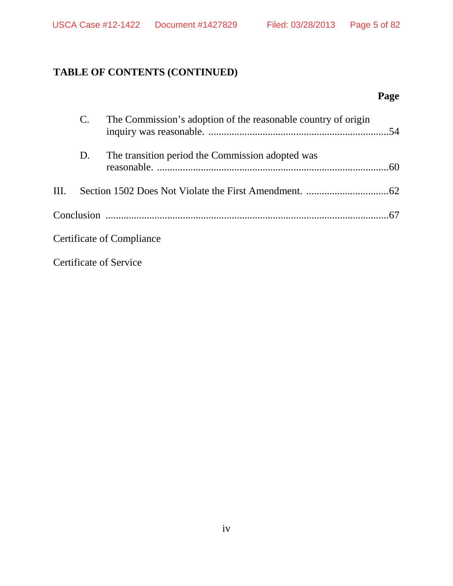## **TABLE OF CONTENTS (CONTINUED)**

## **Page**

|      |    | The Commission's adoption of the reasonable country of origin |  |
|------|----|---------------------------------------------------------------|--|
|      | D. | The transition period the Commission adopted was              |  |
| III. |    |                                                               |  |
|      |    |                                                               |  |
|      |    | Certificate of Compliance                                     |  |
|      |    | Certificate of Service                                        |  |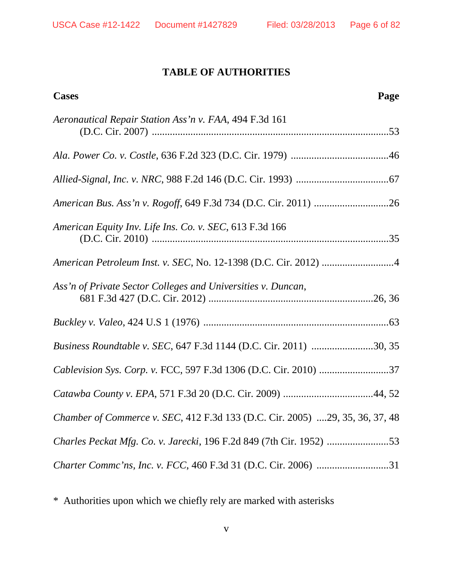## **TABLE OF AUTHORITIES**

| Page<br><b>Cases</b>                                                         |
|------------------------------------------------------------------------------|
| Aeronautical Repair Station Ass'n v. FAA, 494 F.3d 161                       |
|                                                                              |
|                                                                              |
|                                                                              |
| American Equity Inv. Life Ins. Co. v. SEC, 613 F.3d 166                      |
| American Petroleum Inst. v. SEC, No. 12-1398 (D.C. Cir. 2012) 4              |
| Ass'n of Private Sector Colleges and Universities v. Duncan,                 |
|                                                                              |
| Business Roundtable v. SEC, 647 F.3d 1144 (D.C. Cir. 2011) 30, 35            |
| Cablevision Sys. Corp. v. FCC, 597 F.3d 1306 (D.C. Cir. 2010) 37             |
|                                                                              |
| Chamber of Commerce v. SEC, 412 F.3d 133 (D.C. Cir. 2005) 29, 35, 36, 37, 48 |
|                                                                              |
|                                                                              |

<sup>\*</sup> Authorities upon which we chiefly rely are marked with asterisks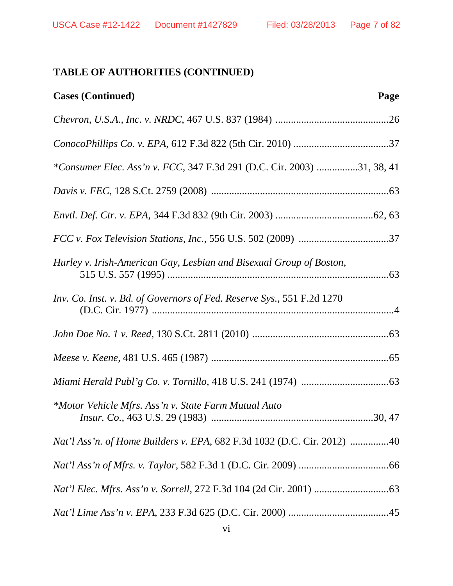| <b>Cases (Continued)</b>                                                | Page |
|-------------------------------------------------------------------------|------|
|                                                                         |      |
|                                                                         |      |
| *Consumer Elec. Ass'n v. FCC, 347 F.3d 291 (D.C. Cir. 2003) 31, 38, 41  |      |
|                                                                         |      |
|                                                                         |      |
|                                                                         |      |
| Hurley v. Irish-American Gay, Lesbian and Bisexual Group of Boston,     |      |
| Inv. Co. Inst. v. Bd. of Governors of Fed. Reserve Sys., 551 F.2d 1270  |      |
|                                                                         |      |
|                                                                         |      |
|                                                                         |      |
| *Motor Vehicle Mfrs. Ass'n v. State Farm Mutual Auto                    |      |
| Nat'l Ass'n. of Home Builders v. EPA, 682 F.3d 1032 (D.C. Cir. 2012) 40 |      |
|                                                                         |      |
|                                                                         |      |
|                                                                         |      |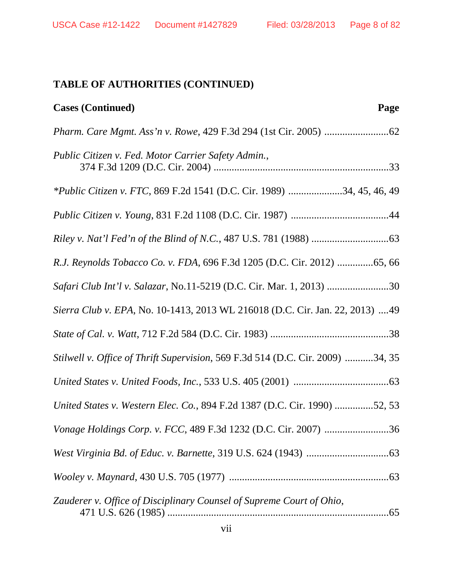| <b>Cases (Continued)</b><br>Page                                               |
|--------------------------------------------------------------------------------|
|                                                                                |
| Public Citizen v. Fed. Motor Carrier Safety Admin.,                            |
| <i>*Public Citizen v. FTC</i> , 869 F.2d 1541 (D.C. Cir. 1989) 34, 45, 46, 49  |
|                                                                                |
|                                                                                |
| R.J. Reynolds Tobacco Co. v. FDA, 696 F.3d 1205 (D.C. Cir. 2012) 65, 66        |
| Safari Club Int'l v. Salazar, No.11-5219 (D.C. Cir. Mar. 1, 2013) 30           |
| Sierra Club v. EPA, No. 10-1413, 2013 WL 216018 (D.C. Cir. Jan. 22, 2013) 49   |
|                                                                                |
| Stilwell v. Office of Thrift Supervision, 569 F.3d 514 (D.C. Cir. 2009) 34, 35 |
|                                                                                |
| United States v. Western Elec. Co., 894 F.2d 1387 (D.C. Cir. 1990) 52, 53      |
| Vonage Holdings Corp. v. FCC, 489 F.3d 1232 (D.C. Cir. 2007) 36                |
|                                                                                |
|                                                                                |
| Zauderer v. Office of Disciplinary Counsel of Supreme Court of Ohio,           |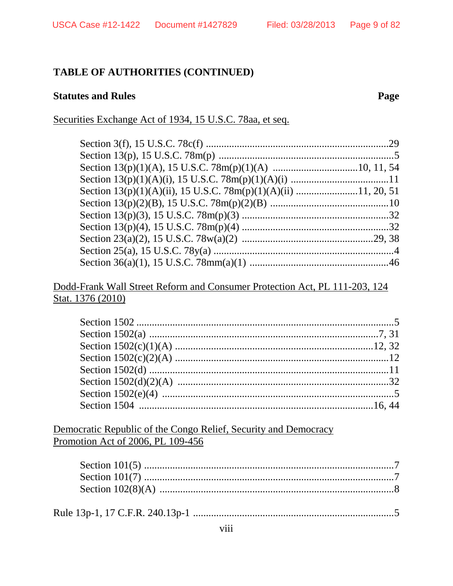## **Statutes and Rules**

Page

## Securities Exchange Act of 1934, 15 U.S.C. 78aa, et seq.

## Dodd-Frank Wall Street Reform and Consumer Protection Act, PL 111-203, 124 Stat. 1376 (2010)

Democratic Republic of the Congo Relief, Security and Democracy Promotion Act of 2006, PL 109-456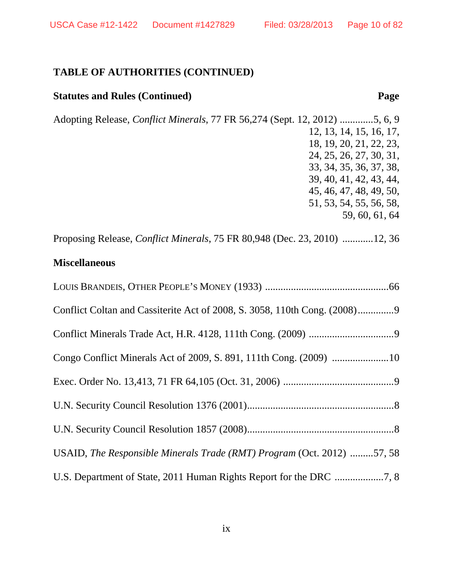## **Statutes and Rules (Continued) Page**

Adopting Release, *Conflict Minerals*, 77 FR 56,274 (Sept. 12, 2012) .............5, 6, 9 12, 13, 14, 15, 16, 17, 18, 19, 20, 21, 22, 23, 24, 25, 26, 27, 30, 31, 33, 34, 35, 36, 37, 38, 39, 40, 41, 42, 43, 44, 45, 46, 47, 48, 49, 50, 51, 53, 54, 55, 56, 58, 59, 60, 61, 64

Proposing Release, *Conflict Minerals*, 75 FR 80,948 (Dec. 23, 2010) ............12, 36

## **Miscellaneous**

| USAID, The Responsible Minerals Trade (RMT) Program (Oct. 2012) 57, 58 |
|------------------------------------------------------------------------|
|                                                                        |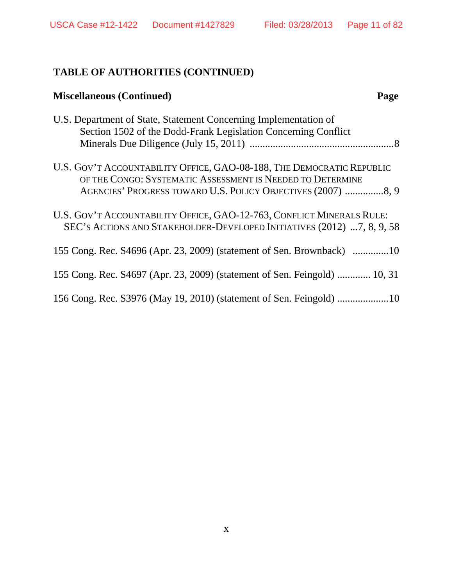| <b>Miscellaneous (Continued)</b><br>Page                                                                                                                                                            |
|-----------------------------------------------------------------------------------------------------------------------------------------------------------------------------------------------------|
| U.S. Department of State, Statement Concerning Implementation of<br>Section 1502 of the Dodd-Frank Legislation Concerning Conflict                                                                  |
| U.S. GOV'T ACCOUNTABILITY OFFICE, GAO-08-188, THE DEMOCRATIC REPUBLIC<br>OF THE CONGO: SYSTEMATIC ASSESSMENT IS NEEDED TO DETERMINE<br>AGENCIES' PROGRESS TOWARD U.S. POLICY OBJECTIVES (2007) 8, 9 |
| U.S. GOV'T ACCOUNTABILITY OFFICE, GAO-12-763, CONFLICT MINERALS RULE:<br>SEC'S ACTIONS AND STAKEHOLDER-DEVELOPED INITIATIVES (2012) 7, 8, 9, 58                                                     |
| 155 Cong. Rec. S4696 (Apr. 23, 2009) (statement of Sen. Brownback) 10                                                                                                                               |
| 155 Cong. Rec. S4697 (Apr. 23, 2009) (statement of Sen. Feingold)  10, 31                                                                                                                           |
|                                                                                                                                                                                                     |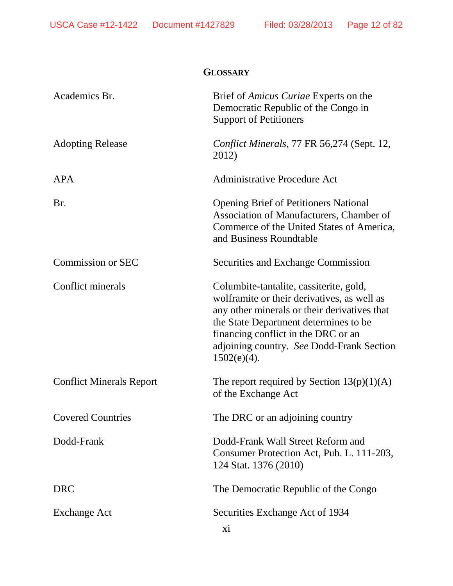| <b>GLOSSARY</b>                 |                                                                                                                                                                                                                                                                                       |  |  |
|---------------------------------|---------------------------------------------------------------------------------------------------------------------------------------------------------------------------------------------------------------------------------------------------------------------------------------|--|--|
| Academics Br.                   | Brief of <i>Amicus Curiae</i> Experts on the<br>Democratic Republic of the Congo in<br><b>Support of Petitioners</b>                                                                                                                                                                  |  |  |
| <b>Adopting Release</b>         | Conflict Minerals, 77 FR 56,274 (Sept. 12,<br>2012)                                                                                                                                                                                                                                   |  |  |
| APA                             | <b>Administrative Procedure Act</b>                                                                                                                                                                                                                                                   |  |  |
| Br.                             | <b>Opening Brief of Petitioners National</b><br>Association of Manufacturers, Chamber of<br>Commerce of the United States of America,<br>and Business Roundtable                                                                                                                      |  |  |
| <b>Commission or SEC</b>        | <b>Securities and Exchange Commission</b>                                                                                                                                                                                                                                             |  |  |
| Conflict minerals               | Columbite-tantalite, cassiterite, gold,<br>wolframite or their derivatives, as well as<br>any other minerals or their derivatives that<br>the State Department determines to be<br>financing conflict in the DRC or an<br>adjoining country. See Dodd-Frank Section<br>$1502(e)(4)$ . |  |  |
| <b>Conflict Minerals Report</b> | The report required by Section $13(p)(1)(A)$<br>of the Exchange Act                                                                                                                                                                                                                   |  |  |
| <b>Covered Countries</b>        | The DRC or an adjoining country                                                                                                                                                                                                                                                       |  |  |
| Dodd-Frank                      | Dodd-Frank Wall Street Reform and<br>Consumer Protection Act, Pub. L. 111-203,<br>124 Stat. 1376 (2010)                                                                                                                                                                               |  |  |
| DRC                             | The Democratic Republic of the Congo                                                                                                                                                                                                                                                  |  |  |
| <b>Exchange Act</b>             | Securities Exchange Act of 1934<br>xi                                                                                                                                                                                                                                                 |  |  |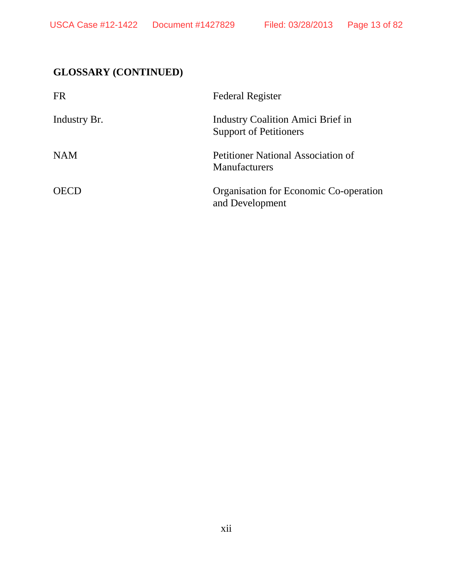## **GLOSSARY (CONTINUED)**

| <b>FR</b>    | <b>Federal Register</b>                                            |
|--------------|--------------------------------------------------------------------|
| Industry Br. | Industry Coalition Amici Brief in<br><b>Support of Petitioners</b> |
| <b>NAM</b>   | <b>Petitioner National Association of</b><br><b>Manufacturers</b>  |
| <b>OECD</b>  | Organisation for Economic Co-operation<br>and Development          |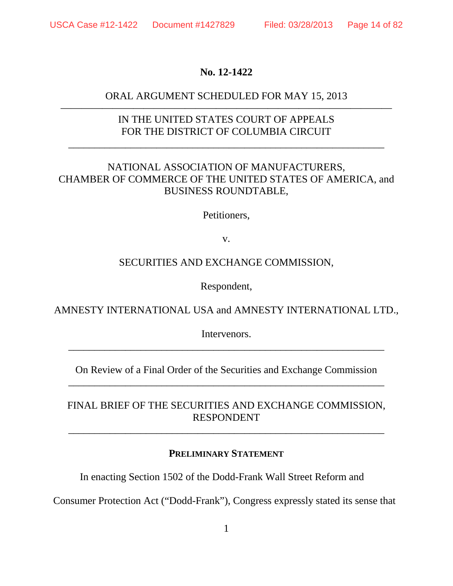## **No. 12-1422**

## ORAL ARGUMENT SCHEDULED FOR MAY 15, 2013 ————————————————————————————————

## IN THE UNITED STATES COURT OF APPEALS FOR THE DISTRICT OF COLUMBIA CIRCUIT

\_\_\_\_\_\_\_\_\_\_\_\_\_\_\_\_\_\_\_\_\_\_\_\_\_\_\_\_\_\_\_\_\_\_\_\_\_\_\_\_\_\_\_\_\_\_\_\_\_\_\_\_\_\_\_\_\_\_\_\_\_

## NATIONAL ASSOCIATION OF MANUFACTURERS, CHAMBER OF COMMERCE OF THE UNITED STATES OF AMERICA, and BUSINESS ROUNDTABLE,

Petitioners,

v.

## SECURITIES AND EXCHANGE COMMISSION,

Respondent,

AMNESTY INTERNATIONAL USA and AMNESTY INTERNATIONAL LTD.,

Intervenors. \_\_\_\_\_\_\_\_\_\_\_\_\_\_\_\_\_\_\_\_\_\_\_\_\_\_\_\_\_\_\_\_\_\_\_\_\_\_\_\_\_\_\_\_\_\_\_\_\_\_\_\_\_\_\_\_\_\_\_\_\_

On Review of a Final Order of the Securities and Exchange Commission \_\_\_\_\_\_\_\_\_\_\_\_\_\_\_\_\_\_\_\_\_\_\_\_\_\_\_\_\_\_\_\_\_\_\_\_\_\_\_\_\_\_\_\_\_\_\_\_\_\_\_\_\_\_\_\_\_\_\_\_\_

## FINAL BRIEF OF THE SECURITIES AND EXCHANGE COMMISSION, RESPONDENT

\_\_\_\_\_\_\_\_\_\_\_\_\_\_\_\_\_\_\_\_\_\_\_\_\_\_\_\_\_\_\_\_\_\_\_\_\_\_\_\_\_\_\_\_\_\_\_\_\_\_\_\_\_\_\_\_\_\_\_\_\_

## **PRELIMINARY STATEMENT**

In enacting Section 1502 of the Dodd-Frank Wall Street Reform and

Consumer Protection Act ("Dodd-Frank"), Congress expressly stated its sense that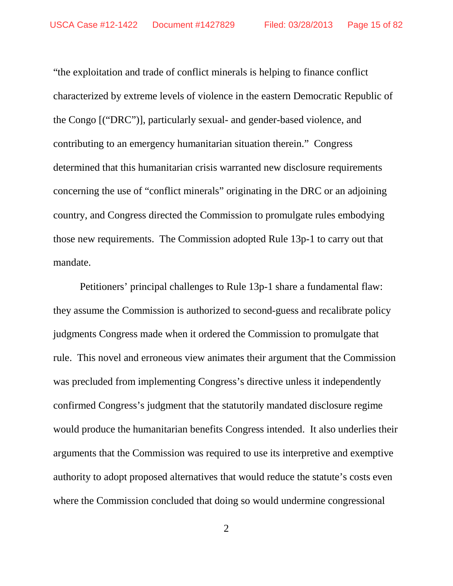"the exploitation and trade of conflict minerals is helping to finance conflict characterized by extreme levels of violence in the eastern Democratic Republic of the Congo [("DRC")], particularly sexual- and gender-based violence, and contributing to an emergency humanitarian situation therein." Congress determined that this humanitarian crisis warranted new disclosure requirements concerning the use of "conflict minerals" originating in the DRC or an adjoining country, and Congress directed the Commission to promulgate rules embodying those new requirements. The Commission adopted Rule 13p-1 to carry out that mandate.

Petitioners' principal challenges to Rule 13p-1 share a fundamental flaw: they assume the Commission is authorized to second-guess and recalibrate policy judgments Congress made when it ordered the Commission to promulgate that rule. This novel and erroneous view animates their argument that the Commission was precluded from implementing Congress's directive unless it independently confirmed Congress's judgment that the statutorily mandated disclosure regime would produce the humanitarian benefits Congress intended. It also underlies their arguments that the Commission was required to use its interpretive and exemptive authority to adopt proposed alternatives that would reduce the statute's costs even where the Commission concluded that doing so would undermine congressional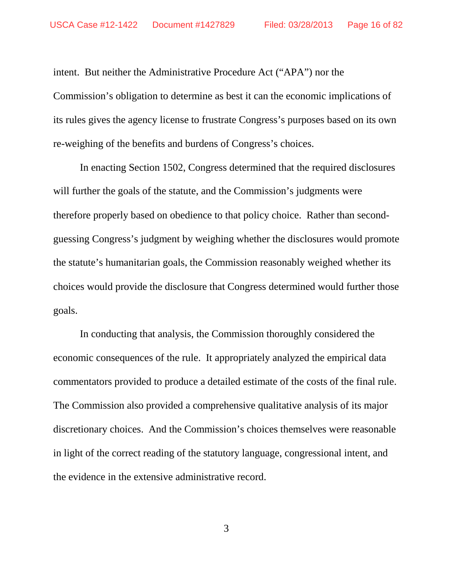intent. But neither the Administrative Procedure Act ("APA") nor the Commission's obligation to determine as best it can the economic implications of its rules gives the agency license to frustrate Congress's purposes based on its own re-weighing of the benefits and burdens of Congress's choices.

In enacting Section 1502, Congress determined that the required disclosures will further the goals of the statute, and the Commission's judgments were therefore properly based on obedience to that policy choice. Rather than secondguessing Congress's judgment by weighing whether the disclosures would promote the statute's humanitarian goals, the Commission reasonably weighed whether its choices would provide the disclosure that Congress determined would further those goals.

In conducting that analysis, the Commission thoroughly considered the economic consequences of the rule. It appropriately analyzed the empirical data commentators provided to produce a detailed estimate of the costs of the final rule. The Commission also provided a comprehensive qualitative analysis of its major discretionary choices. And the Commission's choices themselves were reasonable in light of the correct reading of the statutory language, congressional intent, and the evidence in the extensive administrative record.

3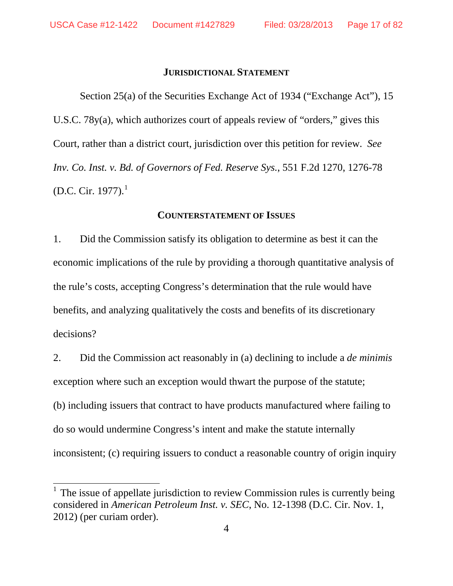#### **JURISDICTIONAL STATEMENT**

Section 25(a) of the Securities Exchange Act of 1934 ("Exchange Act"), 15 U.S.C. 78y(a), which authorizes court of appeals review of "orders," gives this Court, rather than a district court, jurisdiction over this petition for review. *See Inv. Co. Inst. v. Bd. of Governors of Fed. Reserve Sys.*, 551 F.2d 1270, 1276-78 (D.C. Cir. [1](#page-16-0)977). $^1$ 

#### **COUNTERSTATEMENT OF ISSUES**

1. Did the Commission satisfy its obligation to determine as best it can the economic implications of the rule by providing a thorough quantitative analysis of the rule's costs, accepting Congress's determination that the rule would have benefits, and analyzing qualitatively the costs and benefits of its discretionary decisions?

2. Did the Commission act reasonably in (a) declining to include a *de minimis* exception where such an exception would thwart the purpose of the statute; (b) including issuers that contract to have products manufactured where failing to do so would undermine Congress's intent and make the statute internally inconsistent; (c) requiring issuers to conduct a reasonable country of origin inquiry

<span id="page-16-0"></span><sup>&</sup>lt;sup>1</sup> The issue of appellate jurisdiction to review Commission rules is currently being considered in *American Petroleum Inst. v. SEC*, No. 12-1398 (D.C. Cir. Nov. 1, 2012) (per curiam order).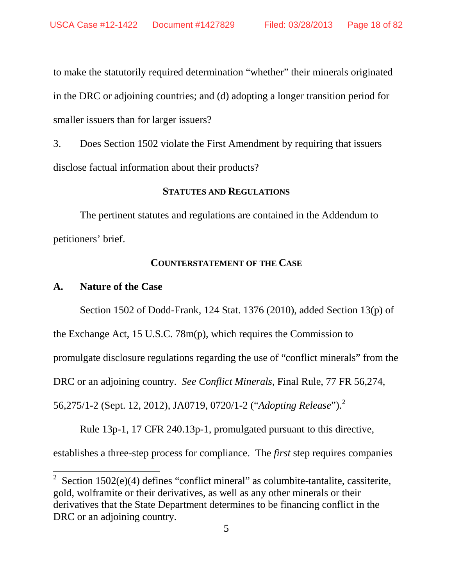to make the statutorily required determination "whether" their minerals originated in the DRC or adjoining countries; and (d) adopting a longer transition period for smaller issuers than for larger issuers?

3. Does Section 1502 violate the First Amendment by requiring that issuers disclose factual information about their products?

## **STATUTES AND REGULATIONS**

The pertinent statutes and regulations are contained in the Addendum to petitioners' brief.

#### **COUNTERSTATEMENT OF THE CASE**

#### **A. Nature of the Case**

Section 1502 of Dodd-Frank, 124 Stat. 1376 (2010), added Section 13(p) of

the Exchange Act, 15 U.S.C. 78m(p), which requires the Commission to

promulgate disclosure regulations regarding the use of "conflict minerals" from the

DRC or an adjoining country. *See Conflict Minerals*, Final Rule, 77 FR 56,274,

56,275/1-2 (Sept. 12, 2012), JA0719, 0720/1-2 ("*Adopting Release*").[2](#page-17-0)

Rule 13p-1, 17 CFR 240.13p-1, promulgated pursuant to this directive,

establishes a three-step process for compliance. The *first* step requires companies

<span id="page-17-0"></span><sup>&</sup>lt;sup>2</sup> Section 1502(e)(4) defines "conflict mineral" as columbite-tantalite, cassiterite, gold, wolframite or their derivatives, as well as any other minerals or their derivatives that the State Department determines to be financing conflict in the DRC or an adjoining country.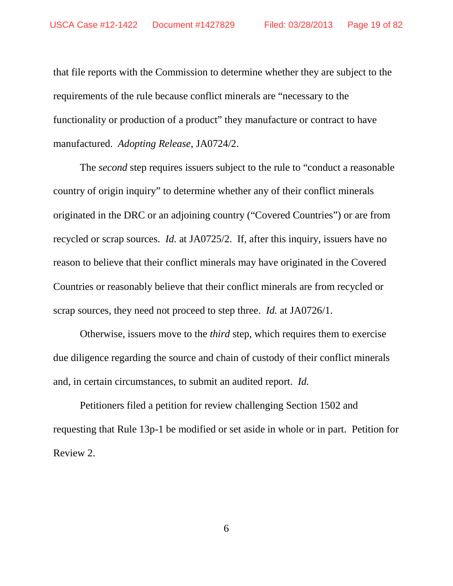that file reports with the Commission to determine whether they are subject to the requirements of the rule because conflict minerals are "necessary to the functionality or production of a product" they manufacture or contract to have manufactured. *Adopting Release*, JA0724/2.

The *second* step requires issuers subject to the rule to "conduct a reasonable country of origin inquiry" to determine whether any of their conflict minerals originated in the DRC or an adjoining country ("Covered Countries") or are from recycled or scrap sources. *Id.* at JA0725/2. If, after this inquiry, issuers have no reason to believe that their conflict minerals may have originated in the Covered Countries or reasonably believe that their conflict minerals are from recycled or scrap sources, they need not proceed to step three. *Id.* at JA0726/1.

Otherwise, issuers move to the *third* step, which requires them to exercise due diligence regarding the source and chain of custody of their conflict minerals and, in certain circumstances, to submit an audited report. *Id.*

Petitioners filed a petition for review challenging Section 1502 and requesting that Rule 13p-1 be modified or set aside in whole or in part. Petition for Review 2.

6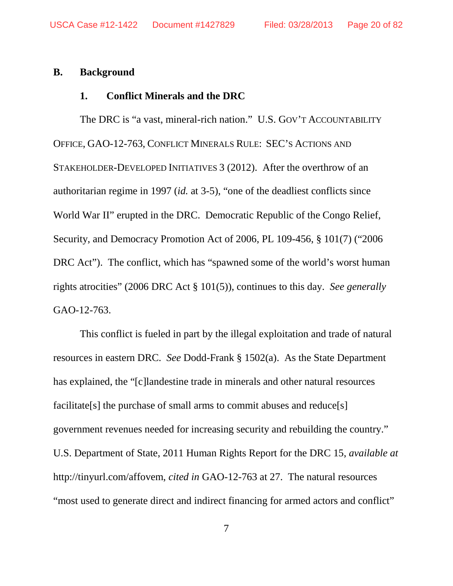## **B. Background**

### **1. Conflict Minerals and the DRC**

The DRC is "a vast, mineral-rich nation." U.S. GOV'T ACCOUNTABILITY OFFICE, GAO-12-763, CONFLICT MINERALS RULE: SEC'S ACTIONS AND STAKEHOLDER-DEVELOPED INITIATIVES 3 (2012). After the overthrow of an authoritarian regime in 1997 (*id.* at 3-5), "one of the deadliest conflicts since World War II" erupted in the DRC. Democratic Republic of the Congo Relief, Security, and Democracy Promotion Act of 2006, PL 109-456, § 101(7) ("2006 DRC Act"). The conflict, which has "spawned some of the world's worst human rights atrocities" (2006 DRC Act § 101(5)), continues to this day. *See generally*  GAO-12-763.

This conflict is fueled in part by the illegal exploitation and trade of natural resources in eastern DRC. *See* Dodd-Frank § 1502(a). As the State Department has explained, the "[c]landestine trade in minerals and other natural resources facilitate<sup>[s]</sup> the purchase of small arms to commit abuses and reduce<sup>[s]</sup> government revenues needed for increasing security and rebuilding the country." U.S. Department of State, 2011 Human Rights Report for the DRC 15, *available at*  http://tinyurl.com/affovem, *cited in* GAO-12-763 at 27. The natural resources "most used to generate direct and indirect financing for armed actors and conflict"

7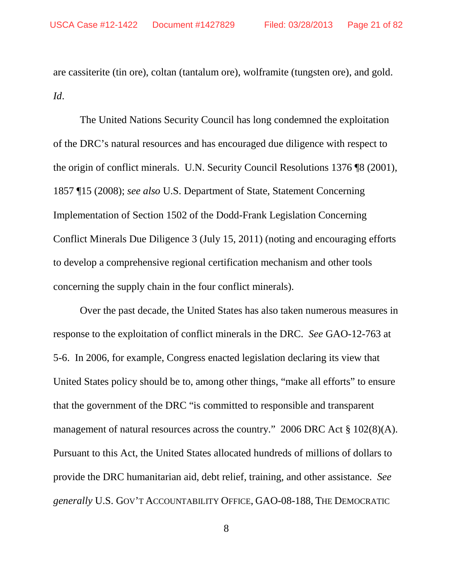are cassiterite (tin ore), coltan (tantalum ore), wolframite (tungsten ore), and gold. *Id*.

The United Nations Security Council has long condemned the exploitation of the DRC's natural resources and has encouraged due diligence with respect to the origin of conflict minerals. U.N. Security Council Resolutions 1376 ¶8 (2001), 1857 ¶15 (2008); *see also* U.S. Department of State, Statement Concerning Implementation of Section 1502 of the Dodd-Frank Legislation Concerning Conflict Minerals Due Diligence 3 (July 15, 2011) (noting and encouraging efforts to develop a comprehensive regional certification mechanism and other tools concerning the supply chain in the four conflict minerals).

Over the past decade, the United States has also taken numerous measures in response to the exploitation of conflict minerals in the DRC. *See* GAO-12-763 at 5-6. In 2006, for example, Congress enacted legislation declaring its view that United States policy should be to, among other things, "make all efforts" to ensure that the government of the DRC "is committed to responsible and transparent management of natural resources across the country." 2006 DRC Act § 102(8)(A). Pursuant to this Act, the United States allocated hundreds of millions of dollars to provide the DRC humanitarian aid, debt relief, training, and other assistance. *See generally* U.S. GOV'T ACCOUNTABILITY OFFICE, GAO-08-188, THE DEMOCRATIC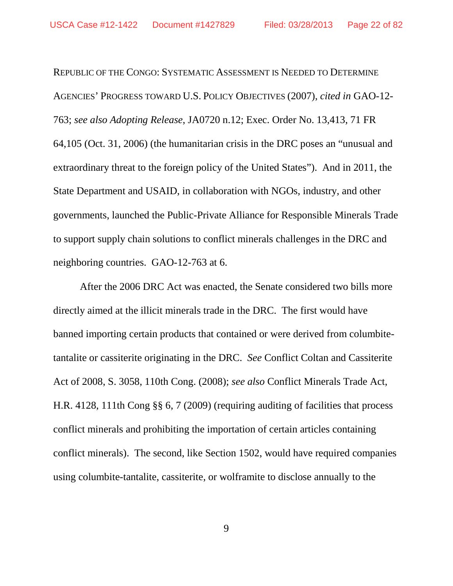REPUBLIC OF THE CONGO: SYSTEMATIC ASSESSMENT IS NEEDED TO DETERMINE AGENCIES' PROGRESS TOWARD U.S. POLICY OBJECTIVES (2007), *cited in* GAO-12- 763; *see also Adopting Release*, JA0720 n.12; Exec. Order No. 13,413, 71 FR 64,105 (Oct. 31, 2006) (the humanitarian crisis in the DRC poses an "unusual and extraordinary threat to the foreign policy of the United States"). And in 2011, the State Department and USAID, in collaboration with NGOs, industry, and other governments, launched the Public-Private Alliance for Responsible Minerals Trade to support supply chain solutions to conflict minerals challenges in the DRC and neighboring countries. GAO-12-763 at 6.

After the 2006 DRC Act was enacted, the Senate considered two bills more directly aimed at the illicit minerals trade in the DRC. The first would have banned importing certain products that contained or were derived from columbitetantalite or cassiterite originating in the DRC. *See* Conflict Coltan and Cassiterite Act of 2008, S. 3058, 110th Cong. (2008); *see also* Conflict Minerals Trade Act, H.R. 4128, 111th Cong §§ 6, 7 (2009) (requiring auditing of facilities that process conflict minerals and prohibiting the importation of certain articles containing conflict minerals). The second, like Section 1502, would have required companies using columbite-tantalite, cassiterite, or wolframite to disclose annually to the

9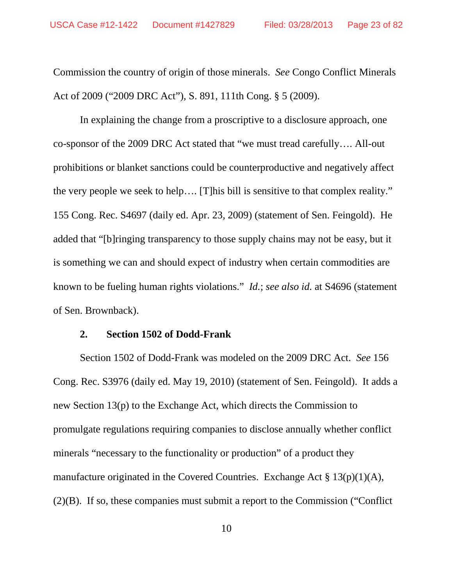Commission the country of origin of those minerals. *See* Congo Conflict Minerals Act of 2009 ("2009 DRC Act"), S. 891, 111th Cong. § 5 (2009).

In explaining the change from a proscriptive to a disclosure approach, one co-sponsor of the 2009 DRC Act stated that "we must tread carefully…. All-out prohibitions or blanket sanctions could be counterproductive and negatively affect the very people we seek to help…. [T]his bill is sensitive to that complex reality." 155 Cong. Rec. S4697 (daily ed. Apr. 23, 2009) (statement of Sen. Feingold). He added that "[b]ringing transparency to those supply chains may not be easy, but it is something we can and should expect of industry when certain commodities are known to be fueling human rights violations." *Id.*; *see also id.* at S4696 (statement of Sen. Brownback).

### **2. Section 1502 of Dodd-Frank**

Section 1502 of Dodd-Frank was modeled on the 2009 DRC Act. *See* 156 Cong. Rec. S3976 (daily ed. May 19, 2010) (statement of Sen. Feingold). It adds a new Section 13(p) to the Exchange Act, which directs the Commission to promulgate regulations requiring companies to disclose annually whether conflict minerals "necessary to the functionality or production" of a product they manufacture originated in the Covered Countries. Exchange Act § 13(p)(1)(A), (2)(B). If so, these companies must submit a report to the Commission ("Conflict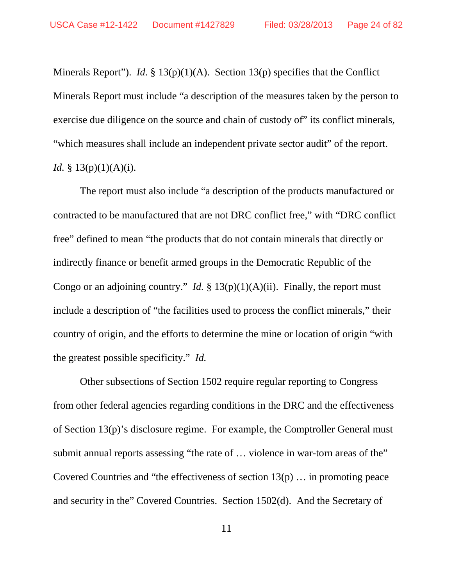Minerals Report"). *Id.* § 13(p)(1)(A). Section 13(p) specifies that the Conflict Minerals Report must include "a description of the measures taken by the person to exercise due diligence on the source and chain of custody of" its conflict minerals, "which measures shall include an independent private sector audit" of the report. *Id.* § 13(p)(1)(A)(i).

The report must also include "a description of the products manufactured or contracted to be manufactured that are not DRC conflict free," with "DRC conflict free" defined to mean "the products that do not contain minerals that directly or indirectly finance or benefit armed groups in the Democratic Republic of the Congo or an adjoining country." *Id.*  $\S 13(p)(1)(A)(ii)$ . Finally, the report must include a description of "the facilities used to process the conflict minerals," their country of origin, and the efforts to determine the mine or location of origin "with the greatest possible specificity." *Id.*

Other subsections of Section 1502 require regular reporting to Congress from other federal agencies regarding conditions in the DRC and the effectiveness of Section 13(p)'s disclosure regime. For example, the Comptroller General must submit annual reports assessing "the rate of … violence in war-torn areas of the" Covered Countries and "the effectiveness of section 13(p) … in promoting peace and security in the" Covered Countries. Section 1502(d). And the Secretary of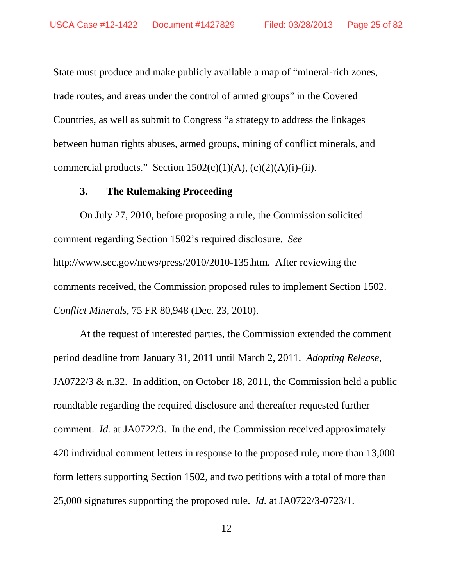State must produce and make publicly available a map of "mineral-rich zones, trade routes, and areas under the control of armed groups" in the Covered Countries, as well as submit to Congress "a strategy to address the linkages between human rights abuses, armed groups, mining of conflict minerals, and commercial products." Section  $1502(c)(1)(A)$ ,  $(c)(2)(A)(i)-(ii)$ .

## **3. The Rulemaking Proceeding**

On July 27, 2010, before proposing a rule, the Commission solicited comment regarding Section 1502's required disclosure. *See* http://www.sec.gov/news/press/2010/2010-135.htm. After reviewing the comments received, the Commission proposed rules to implement Section 1502. *Conflict Minerals*, 75 FR 80,948 (Dec. 23, 2010).

At the request of interested parties, the Commission extended the comment period deadline from January 31, 2011 until March 2, 2011. *Adopting Release*, JA0722/3 & n.32. In addition, on October 18, 2011, the Commission held a public roundtable regarding the required disclosure and thereafter requested further comment. *Id.* at JA0722/3. In the end, the Commission received approximately 420 individual comment letters in response to the proposed rule, more than 13,000 form letters supporting Section 1502, and two petitions with a total of more than 25,000 signatures supporting the proposed rule. *Id.* at JA0722/3-0723/1.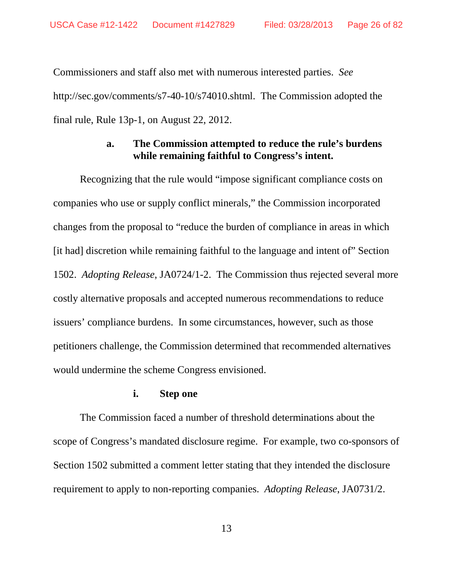Commissioners and staff also met with numerous interested parties. *See*  http://sec.gov/comments/s7-40-10/s74010.shtml. The Commission adopted the final rule, Rule 13p-1, on August 22, 2012.

## **a. The Commission attempted to reduce the rule's burdens while remaining faithful to Congress's intent.**

Recognizing that the rule would "impose significant compliance costs on companies who use or supply conflict minerals," the Commission incorporated changes from the proposal to "reduce the burden of compliance in areas in which [it had] discretion while remaining faithful to the language and intent of" Section 1502. *Adopting Release*, JA0724/1-2.The Commission thus rejected several more costly alternative proposals and accepted numerous recommendations to reduce issuers' compliance burdens. In some circumstances, however, such as those petitioners challenge, the Commission determined that recommended alternatives would undermine the scheme Congress envisioned.

#### **i. Step one**

The Commission faced a number of threshold determinations about the scope of Congress's mandated disclosure regime. For example, two co-sponsors of Section 1502 submitted a comment letter stating that they intended the disclosure requirement to apply to non-reporting companies. *Adopting Release*, JA0731/2.

13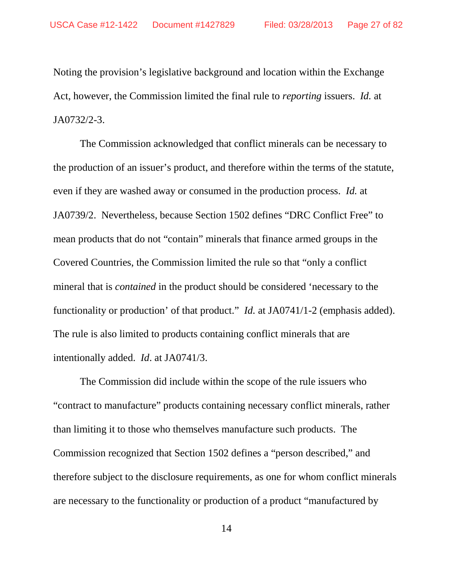Noting the provision's legislative background and location within the Exchange Act, however, the Commission limited the final rule to *reporting* issuers. *Id.* at JA0732/2-3.

The Commission acknowledged that conflict minerals can be necessary to the production of an issuer's product, and therefore within the terms of the statute, even if they are washed away or consumed in the production process. *Id.* at JA0739/2. Nevertheless, because Section 1502 defines "DRC Conflict Free" to mean products that do not "contain" minerals that finance armed groups in the Covered Countries, the Commission limited the rule so that "only a conflict mineral that is *contained* in the product should be considered 'necessary to the functionality or production' of that product." *Id.* at JA0741/1-2 (emphasis added). The rule is also limited to products containing conflict minerals that are intentionally added. *Id*. at JA0741/3.

The Commission did include within the scope of the rule issuers who "contract to manufacture" products containing necessary conflict minerals, rather than limiting it to those who themselves manufacture such products. The Commission recognized that Section 1502 defines a "person described," and therefore subject to the disclosure requirements, as one for whom conflict minerals are necessary to the functionality or production of a product "manufactured by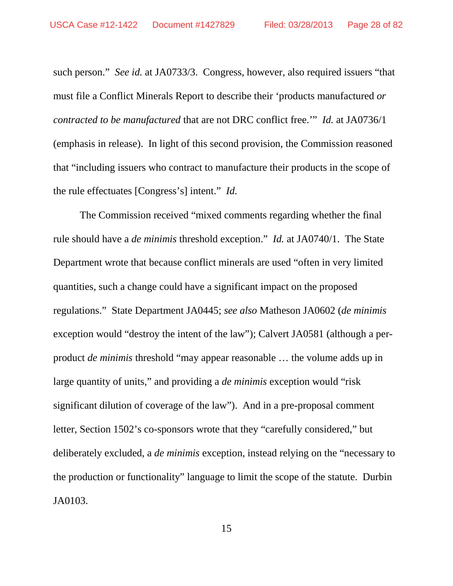such person." *See id.* at JA0733/3. Congress, however, also required issuers "that must file a Conflict Minerals Report to describe their 'products manufactured *or contracted to be manufactured* that are not DRC conflict free.'" *Id.* at JA0736/1 (emphasis in release). In light of this second provision, the Commission reasoned that "including issuers who contract to manufacture their products in the scope of the rule effectuates [Congress's] intent." *Id.* 

The Commission received "mixed comments regarding whether the final rule should have a *de minimis* threshold exception." *Id.* at JA0740/1. The State Department wrote that because conflict minerals are used "often in very limited quantities, such a change could have a significant impact on the proposed regulations." State Department JA0445; *see also* Matheson JA0602 (*de minimis* exception would "destroy the intent of the law"); Calvert JA0581 (although a perproduct *de minimis* threshold "may appear reasonable … the volume adds up in large quantity of units," and providing a *de minimis* exception would "risk significant dilution of coverage of the law"). And in a pre-proposal comment letter, Section 1502's co-sponsors wrote that they "carefully considered," but deliberately excluded, a *de minimis* exception, instead relying on the "necessary to the production or functionality" language to limit the scope of the statute. Durbin JA0103.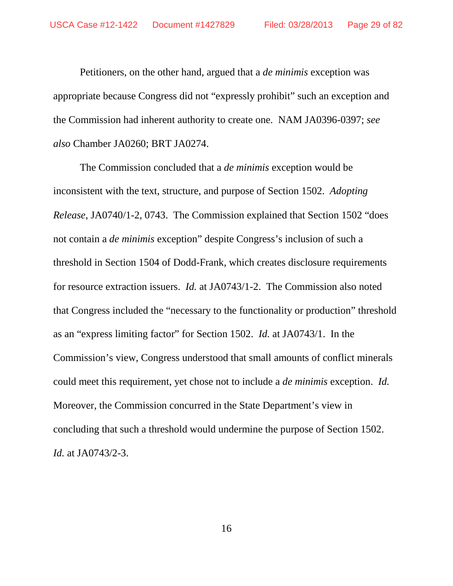Petitioners, on the other hand, argued that a *de minimis* exception was appropriate because Congress did not "expressly prohibit" such an exception and the Commission had inherent authority to create one. NAM JA0396-0397; *see also* Chamber JA0260; BRT JA0274.

The Commission concluded that a *de minimis* exception would be inconsistent with the text, structure, and purpose of Section 1502. *Adopting Release*, JA0740/1-2, 0743. The Commission explained that Section 1502 "does not contain a *de minimis* exception" despite Congress's inclusion of such a threshold in Section 1504 of Dodd-Frank, which creates disclosure requirements for resource extraction issuers. *Id.* at JA0743/1-2. The Commission also noted that Congress included the "necessary to the functionality or production" threshold as an "express limiting factor" for Section 1502. *Id.* at JA0743/1. In the Commission's view, Congress understood that small amounts of conflict minerals could meet this requirement, yet chose not to include a *de minimis* exception. *Id.* Moreover, the Commission concurred in the State Department's view in concluding that such a threshold would undermine the purpose of Section 1502. *Id.* at JA0743/2-3.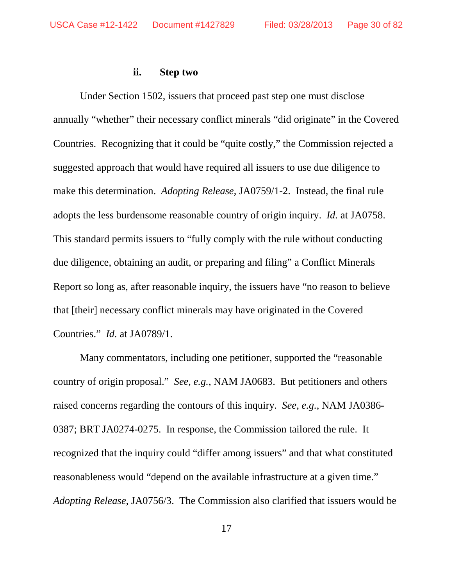### **ii. Step two**

Under Section 1502, issuers that proceed past step one must disclose annually "whether" their necessary conflict minerals "did originate" in the Covered Countries. Recognizing that it could be "quite costly," the Commission rejected a suggested approach that would have required all issuers to use due diligence to make this determination. *Adopting Release*, JA0759/1-2. Instead, the final rule adopts the less burdensome reasonable country of origin inquiry. *Id.* at JA0758. This standard permits issuers to "fully comply with the rule without conducting due diligence, obtaining an audit, or preparing and filing" a Conflict Minerals Report so long as, after reasonable inquiry, the issuers have "no reason to believe that [their] necessary conflict minerals may have originated in the Covered Countries." *Id.* at JA0789/1.

Many commentators, including one petitioner, supported the "reasonable country of origin proposal." *See, e.g.*, NAM JA0683. But petitioners and others raised concerns regarding the contours of this inquiry. *See, e.g.*, NAM JA0386- 0387; BRT JA0274-0275. In response, the Commission tailored the rule. It recognized that the inquiry could "differ among issuers" and that what constituted reasonableness would "depend on the available infrastructure at a given time." *Adopting Release*, JA0756/3. The Commission also clarified that issuers would be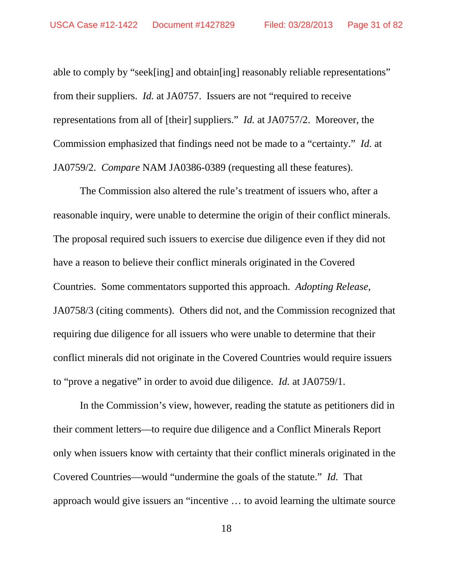able to comply by "seek[ing] and obtain[ing] reasonably reliable representations" from their suppliers. *Id.* at JA0757. Issuers are not "required to receive representations from all of [their] suppliers." *Id.* at JA0757/2. Moreover, the Commission emphasized that findings need not be made to a "certainty." *Id.* at JA0759/2. *Compare* NAM JA0386-0389 (requesting all these features).

The Commission also altered the rule's treatment of issuers who, after a reasonable inquiry, were unable to determine the origin of their conflict minerals. The proposal required such issuers to exercise due diligence even if they did not have a reason to believe their conflict minerals originated in the Covered Countries. Some commentators supported this approach. *Adopting Release*, JA0758/3 (citing comments). Others did not, and the Commission recognized that requiring due diligence for all issuers who were unable to determine that their conflict minerals did not originate in the Covered Countries would require issuers to "prove a negative" in order to avoid due diligence. *Id.* at JA0759/1.

In the Commission's view, however, reading the statute as petitioners did in their comment letters—to require due diligence and a Conflict Minerals Report only when issuers know with certainty that their conflict minerals originated in the Covered Countries—would "undermine the goals of the statute." *Id.* That approach would give issuers an "incentive … to avoid learning the ultimate source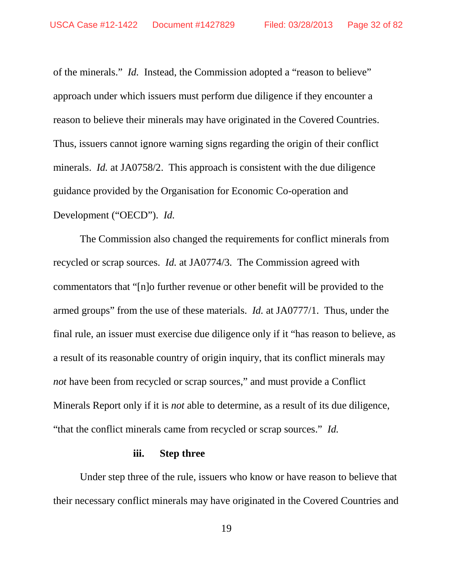of the minerals." *Id.*Instead, the Commission adopted a "reason to believe" approach under which issuers must perform due diligence if they encounter a reason to believe their minerals may have originated in the Covered Countries. Thus, issuers cannot ignore warning signs regarding the origin of their conflict minerals. *Id.* at JA0758/2. This approach is consistent with the due diligence guidance provided by the Organisation for Economic Co-operation and Development ("OECD"). *Id.*

The Commission also changed the requirements for conflict minerals from recycled or scrap sources. *Id.* at JA0774/3. The Commission agreed with commentators that "[n]o further revenue or other benefit will be provided to the armed groups" from the use of these materials. *Id.* at JA0777/1. Thus, under the final rule, an issuer must exercise due diligence only if it "has reason to believe, as a result of its reasonable country of origin inquiry, that its conflict minerals may *not* have been from recycled or scrap sources," and must provide a Conflict Minerals Report only if it is *not* able to determine, as a result of its due diligence, "that the conflict minerals came from recycled or scrap sources." *Id.*

#### **iii. Step three**

Under step three of the rule, issuers who know or have reason to believe that their necessary conflict minerals may have originated in the Covered Countries and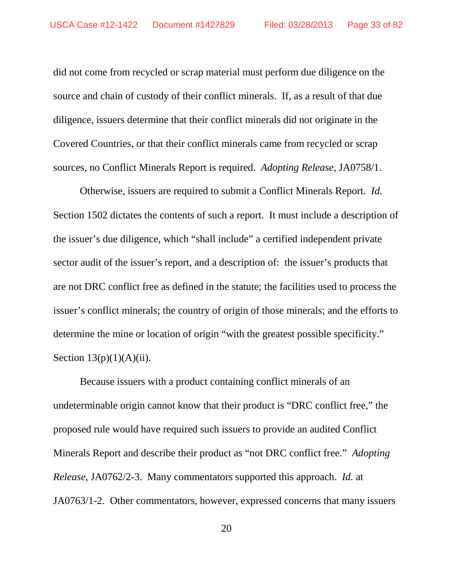did not come from recycled or scrap material must perform due diligence on the source and chain of custody of their conflict minerals. If, as a result of that due diligence, issuers determine that their conflict minerals did not originate in the Covered Countries, or that their conflict minerals came from recycled or scrap sources, no Conflict Minerals Report is required. *Adopting Release*, JA0758/1.

Otherwise, issuers are required to submit a Conflict Minerals Report. *Id.* Section 1502 dictates the contents of such a report. It must include a description of the issuer's due diligence, which "shall include" a certified independent private sector audit of the issuer's report, and a description of: the issuer's products that are not DRC conflict free as defined in the statute; the facilities used to process the issuer's conflict minerals; the country of origin of those minerals; and the efforts to determine the mine or location of origin "with the greatest possible specificity." Section  $13(p)(1)(A)(ii)$ .

Because issuers with a product containing conflict minerals of an undeterminable origin cannot know that their product is "DRC conflict free," the proposed rule would have required such issuers to provide an audited Conflict Minerals Report and describe their product as "not DRC conflict free." *Adopting Release*, JA0762/2-3. Many commentators supported this approach. *Id.* at JA0763/1-2. Other commentators, however, expressed concerns that many issuers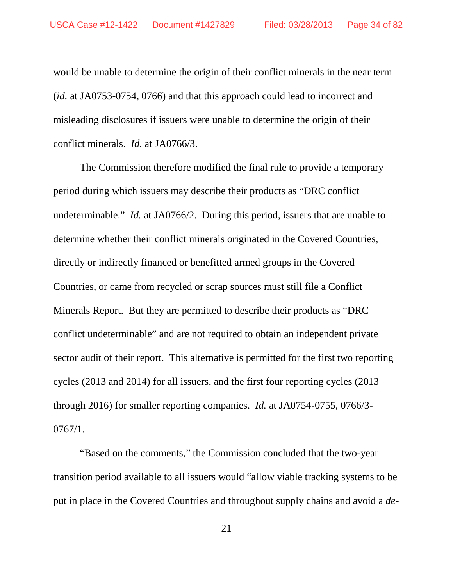would be unable to determine the origin of their conflict minerals in the near term (*id.* at JA0753-0754, 0766) and that this approach could lead to incorrect and misleading disclosures if issuers were unable to determine the origin of their conflict minerals. *Id.* at JA0766/3.

The Commission therefore modified the final rule to provide a temporary period during which issuers may describe their products as "DRC conflict undeterminable." *Id.* at JA0766/2. During this period, issuers that are unable to determine whether their conflict minerals originated in the Covered Countries, directly or indirectly financed or benefitted armed groups in the Covered Countries, or came from recycled or scrap sources must still file a Conflict Minerals Report. But they are permitted to describe their products as "DRC conflict undeterminable" and are not required to obtain an independent private sector audit of their report. This alternative is permitted for the first two reporting cycles (2013 and 2014) for all issuers, and the first four reporting cycles (2013 through 2016) for smaller reporting companies. *Id.* at JA0754-0755, 0766/3- 0767/1.

"Based on the comments," the Commission concluded that the two-year transition period available to all issuers would "allow viable tracking systems to be put in place in the Covered Countries and throughout supply chains and avoid a *de-*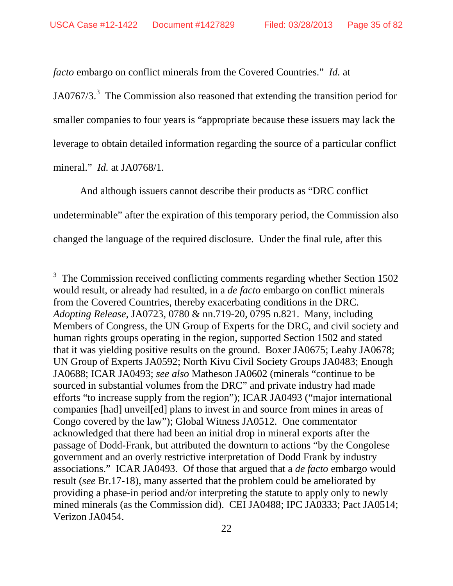*facto* embargo on conflict minerals from the Covered Countries." *Id.* at

JA0767/[3](#page-34-0). $3$  The Commission also reasoned that extending the transition period for smaller companies to four years is "appropriate because these issuers may lack the leverage to obtain detailed information regarding the source of a particular conflict mineral." *Id.* at JA0768/1.

And although issuers cannot describe their products as "DRC conflict undeterminable" after the expiration of this temporary period, the Commission also changed the language of the required disclosure. Under the final rule, after this

<span id="page-34-0"></span><sup>&</sup>lt;sup>3</sup> The Commission received conflicting comments regarding whether Section 1502 would result, or already had resulted, in a *de facto* embargo on conflict minerals from the Covered Countries, thereby exacerbating conditions in the DRC. *Adopting Release*, JA0723, 0780 & nn.719-20, 0795 n.821. Many, including Members of Congress, the UN Group of Experts for the DRC, and civil society and human rights groups operating in the region, supported Section 1502 and stated that it was yielding positive results on the ground. Boxer JA0675; Leahy JA0678; UN Group of Experts JA0592; North Kivu Civil Society Groups JA0483; Enough JA0688; ICAR JA0493; *see also* Matheson JA0602 (minerals "continue to be sourced in substantial volumes from the DRC" and private industry had made efforts "to increase supply from the region"); ICAR JA0493 ("major international companies [had] unveil[ed] plans to invest in and source from mines in areas of Congo covered by the law"); Global Witness JA0512. One commentator acknowledged that there had been an initial drop in mineral exports after the passage of Dodd-Frank, but attributed the downturn to actions "by the Congolese government and an overly restrictive interpretation of Dodd Frank by industry associations." ICAR JA0493. Of those that argued that a *de facto* embargo would result (*see* Br.17-18), many asserted that the problem could be ameliorated by providing a phase-in period and/or interpreting the statute to apply only to newly mined minerals (as the Commission did). CEI JA0488; IPC JA0333; Pact JA0514; Verizon JA0454.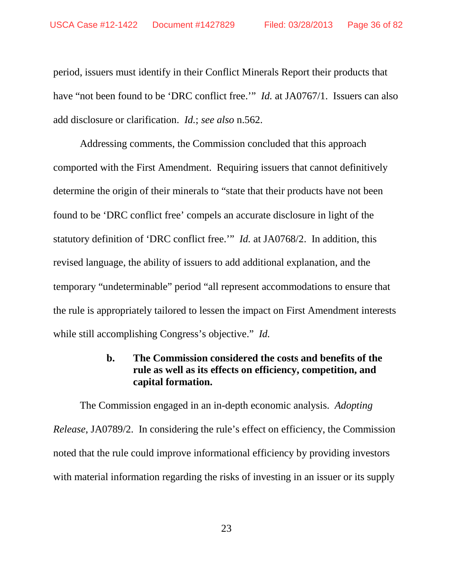period, issuers must identify in their Conflict Minerals Report their products that have "not been found to be 'DRC conflict free.'" *Id.* at JA0767/1. Issuers can also add disclosure or clarification. *Id.*; *see also* n.562.

Addressing comments, the Commission concluded that this approach comported with the First Amendment. Requiring issuers that cannot definitively determine the origin of their minerals to "state that their products have not been found to be 'DRC conflict free' compels an accurate disclosure in light of the statutory definition of 'DRC conflict free.'" *Id.* at JA0768/2. In addition, this revised language, the ability of issuers to add additional explanation, and the temporary "undeterminable" period "all represent accommodations to ensure that the rule is appropriately tailored to lessen the impact on First Amendment interests while still accomplishing Congress's objective." *Id.*

## **b. The Commission considered the costs and benefits of the rule as well as its effects on efficiency, competition, and capital formation.**

The Commission engaged in an in-depth economic analysis. *Adopting Release*, JA0789/2. In considering the rule's effect on efficiency, the Commission noted that the rule could improve informational efficiency by providing investors with material information regarding the risks of investing in an issuer or its supply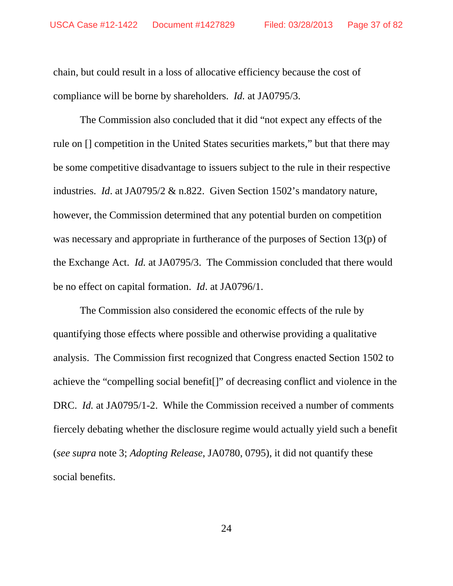chain, but could result in a loss of allocative efficiency because the cost of compliance will be borne by shareholders. *Id.* at JA0795/3.

The Commission also concluded that it did "not expect any effects of the rule on [] competition in the United States securities markets," but that there may be some competitive disadvantage to issuers subject to the rule in their respective industries. *Id*. at JA0795/2 & n.822. Given Section 1502's mandatory nature, however, the Commission determined that any potential burden on competition was necessary and appropriate in furtherance of the purposes of Section 13(p) of the Exchange Act. *Id.* at JA0795/3. The Commission concluded that there would be no effect on capital formation. *Id*. at JA0796/1.

The Commission also considered the economic effects of the rule by quantifying those effects where possible and otherwise providing a qualitative analysis. The Commission first recognized that Congress enacted Section 1502 to achieve the "compelling social benefit[]" of decreasing conflict and violence in the DRC. *Id.* at JA0795/1-2. While the Commission received a number of comments fiercely debating whether the disclosure regime would actually yield such a benefit (*see supra* note 3; *Adopting Release*, JA0780, 0795), it did not quantify these social benefits.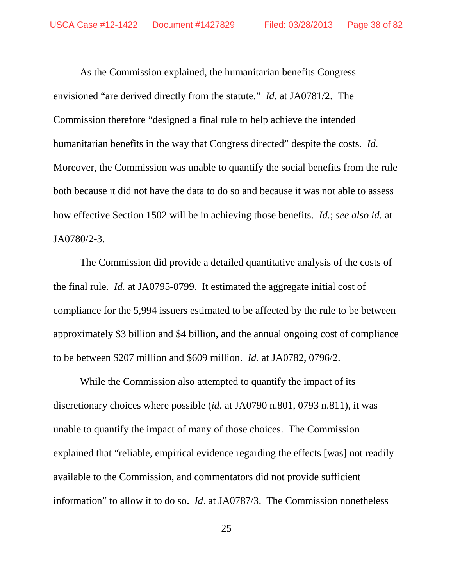As the Commission explained, the humanitarian benefits Congress envisioned "are derived directly from the statute." *Id.* at JA0781/2. The Commission therefore "designed a final rule to help achieve the intended humanitarian benefits in the way that Congress directed" despite the costs. *Id.* Moreover, the Commission was unable to quantify the social benefits from the rule both because it did not have the data to do so and because it was not able to assess how effective Section 1502 will be in achieving those benefits. *Id.*; *see also id.* at JA0780/2-3.

The Commission did provide a detailed quantitative analysis of the costs of the final rule. *Id.* at JA0795-0799. It estimated the aggregate initial cost of compliance for the 5,994 issuers estimated to be affected by the rule to be between approximately \$3 billion and \$4 billion, and the annual ongoing cost of compliance to be between \$207 million and \$609 million. *Id.* at JA0782, 0796/2.

While the Commission also attempted to quantify the impact of its discretionary choices where possible (*id.* at JA0790 n.801, 0793 n.811), it was unable to quantify the impact of many of those choices. The Commission explained that "reliable, empirical evidence regarding the effects [was] not readily available to the Commission, and commentators did not provide sufficient information" to allow it to do so. *Id*. at JA0787/3. The Commission nonetheless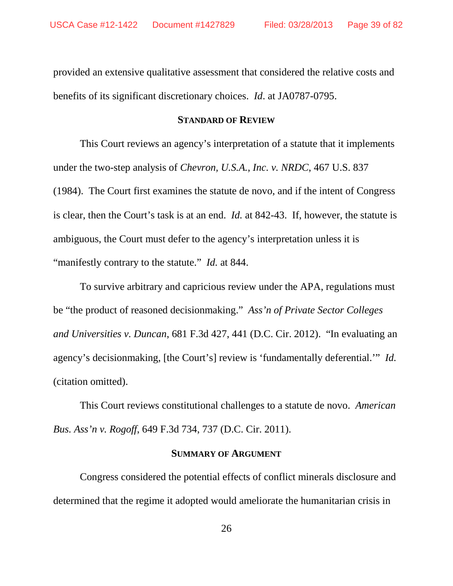provided an extensive qualitative assessment that considered the relative costs and benefits of its significant discretionary choices. *Id*. at JA0787-0795.

#### **STANDARD OF REVIEW**

This Court reviews an agency's interpretation of a statute that it implements under the two-step analysis of *Chevron, U.S.A., Inc. v. NRDC*, 467 U.S. 837 (1984). The Court first examines the statute de novo, and if the intent of Congress is clear, then the Court's task is at an end. *Id.* at 842-43. If, however, the statute is ambiguous, the Court must defer to the agency's interpretation unless it is "manifestly contrary to the statute." *Id.* at 844.

To survive arbitrary and capricious review under the APA, regulations must be "the product of reasoned decisionmaking." *Ass'n of Private Sector Colleges and Universities v. Duncan*, 681 F.3d 427, 441 (D.C. Cir. 2012). "In evaluating an agency's decisionmaking, [the Court's] review is 'fundamentally deferential.'" *Id.* (citation omitted).

This Court reviews constitutional challenges to a statute de novo. *American Bus. Ass'n v. Rogoff*, 649 F.3d 734, 737 (D.C. Cir. 2011).

#### **SUMMARY OF ARGUMENT**

Congress considered the potential effects of conflict minerals disclosure and determined that the regime it adopted would ameliorate the humanitarian crisis in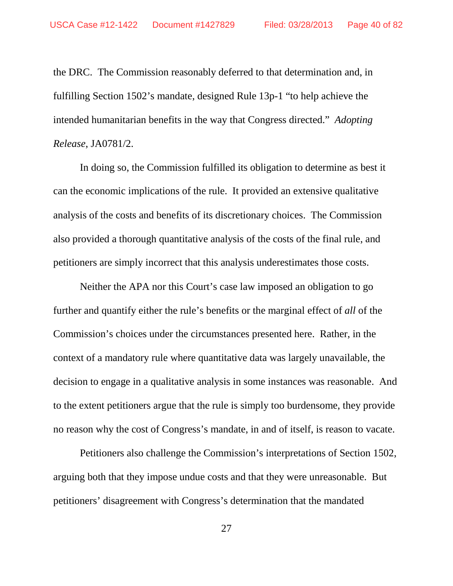the DRC. The Commission reasonably deferred to that determination and, in fulfilling Section 1502's mandate, designed Rule 13p-1 "to help achieve the intended humanitarian benefits in the way that Congress directed." *Adopting Release*, JA0781/2.

In doing so, the Commission fulfilled its obligation to determine as best it can the economic implications of the rule. It provided an extensive qualitative analysis of the costs and benefits of its discretionary choices. The Commission also provided a thorough quantitative analysis of the costs of the final rule, and petitioners are simply incorrect that this analysis underestimates those costs.

Neither the APA nor this Court's case law imposed an obligation to go further and quantify either the rule's benefits or the marginal effect of *all* of the Commission's choices under the circumstances presented here. Rather, in the context of a mandatory rule where quantitative data was largely unavailable, the decision to engage in a qualitative analysis in some instances was reasonable. And to the extent petitioners argue that the rule is simply too burdensome, they provide no reason why the cost of Congress's mandate, in and of itself, is reason to vacate.

Petitioners also challenge the Commission's interpretations of Section 1502, arguing both that they impose undue costs and that they were unreasonable. But petitioners' disagreement with Congress's determination that the mandated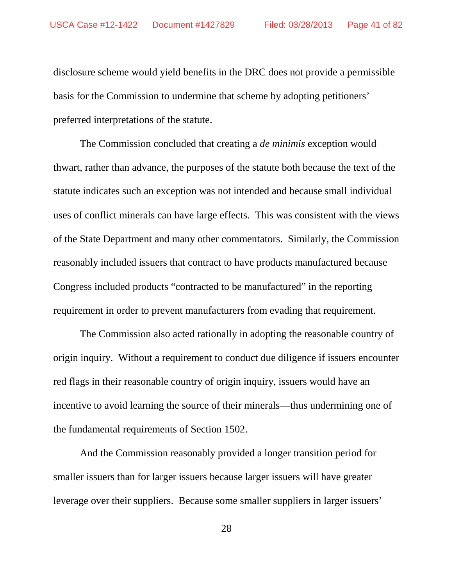disclosure scheme would yield benefits in the DRC does not provide a permissible basis for the Commission to undermine that scheme by adopting petitioners' preferred interpretations of the statute.

The Commission concluded that creating a *de minimis* exception would thwart, rather than advance, the purposes of the statute both because the text of the statute indicates such an exception was not intended and because small individual uses of conflict minerals can have large effects. This was consistent with the views of the State Department and many other commentators. Similarly, the Commission reasonably included issuers that contract to have products manufactured because Congress included products "contracted to be manufactured" in the reporting requirement in order to prevent manufacturers from evading that requirement.

The Commission also acted rationally in adopting the reasonable country of origin inquiry. Without a requirement to conduct due diligence if issuers encounter red flags in their reasonable country of origin inquiry, issuers would have an incentive to avoid learning the source of their minerals—thus undermining one of the fundamental requirements of Section 1502.

And the Commission reasonably provided a longer transition period for smaller issuers than for larger issuers because larger issuers will have greater leverage over their suppliers. Because some smaller suppliers in larger issuers'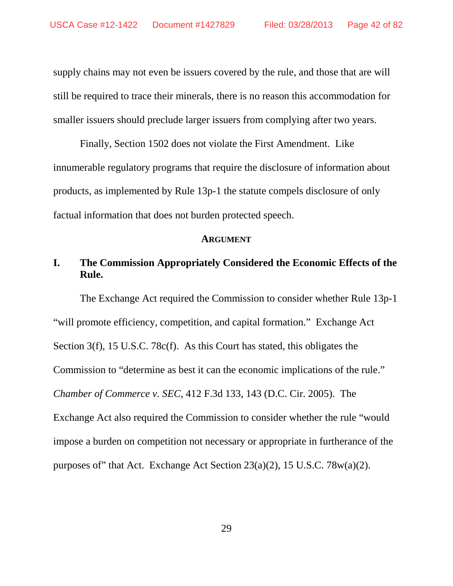supply chains may not even be issuers covered by the rule, and those that are will still be required to trace their minerals, there is no reason this accommodation for smaller issuers should preclude larger issuers from complying after two years.

Finally, Section 1502 does not violate the First Amendment. Like innumerable regulatory programs that require the disclosure of information about products, as implemented by Rule 13p-1 the statute compels disclosure of only factual information that does not burden protected speech.

#### **ARGUMENT**

# **I. The Commission Appropriately Considered the Economic Effects of the Rule.**

The Exchange Act required the Commission to consider whether Rule 13p-1 "will promote efficiency, competition, and capital formation." Exchange Act Section 3(f), 15 U.S.C. 78c(f). As this Court has stated, this obligates the Commission to "determine as best it can the economic implications of the rule." *Chamber of Commerce v. SEC*, 412 F.3d 133, 143 (D.C. Cir. 2005). The Exchange Act also required the Commission to consider whether the rule "would impose a burden on competition not necessary or appropriate in furtherance of the purposes of" that Act. Exchange Act Section 23(a)(2), 15 U.S.C. 78w(a)(2).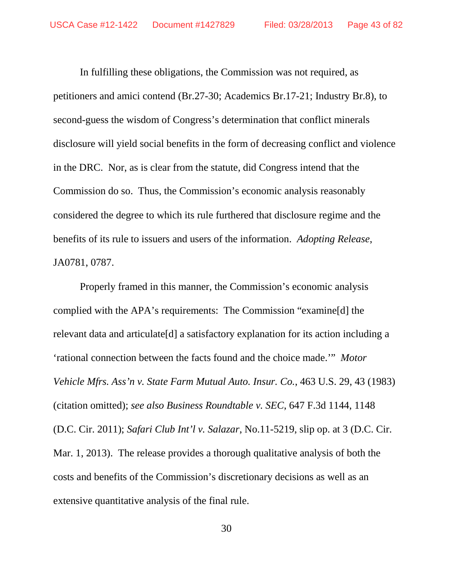In fulfilling these obligations, the Commission was not required, as petitioners and amici contend (Br.27-30; Academics Br.17-21; Industry Br.8), to second-guess the wisdom of Congress's determination that conflict minerals disclosure will yield social benefits in the form of decreasing conflict and violence in the DRC. Nor, as is clear from the statute, did Congress intend that the Commission do so. Thus, the Commission's economic analysis reasonably considered the degree to which its rule furthered that disclosure regime and the benefits of its rule to issuers and users of the information. *Adopting Release*, JA0781, 0787.

Properly framed in this manner, the Commission's economic analysis complied with the APA's requirements: The Commission "examine[d] the relevant data and articulate[d] a satisfactory explanation for its action including a 'rational connection between the facts found and the choice made.'" *Motor Vehicle Mfrs. Ass'n v. State Farm Mutual Auto. Insur. Co.*, 463 U.S. 29, 43 (1983) (citation omitted); *see also Business Roundtable v. SEC*, 647 F.3d 1144, 1148 (D.C. Cir. 2011); *Safari Club Int'l v. Salazar*, No.11-5219, slip op. at 3 (D.C. Cir. Mar. 1, 2013). The release provides a thorough qualitative analysis of both the costs and benefits of the Commission's discretionary decisions as well as an extensive quantitative analysis of the final rule.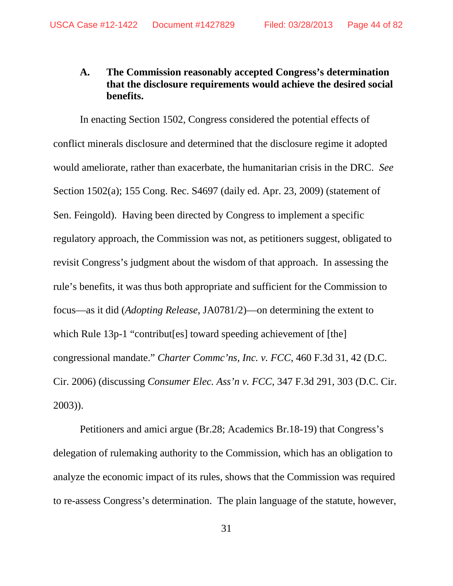# **A. The Commission reasonably accepted Congress's determination that the disclosure requirements would achieve the desired social benefits.**

In enacting Section 1502, Congress considered the potential effects of conflict minerals disclosure and determined that the disclosure regime it adopted would ameliorate, rather than exacerbate, the humanitarian crisis in the DRC. *See* Section 1502(a); 155 Cong. Rec. S4697 (daily ed. Apr. 23, 2009) (statement of Sen. Feingold). Having been directed by Congress to implement a specific regulatory approach, the Commission was not, as petitioners suggest, obligated to revisit Congress's judgment about the wisdom of that approach. In assessing the rule's benefits, it was thus both appropriate and sufficient for the Commission to focus—as it did (*Adopting Release*, JA0781/2)—on determining the extent to which Rule 13p-1 "contribut [es] toward speeding achievement of [the] congressional mandate." *Charter Commc'ns, Inc. v. FCC*, 460 F.3d 31, 42 (D.C. Cir. 2006) (discussing *Consumer Elec. Ass'n v. FCC*, 347 F.3d 291, 303 (D.C. Cir. 2003)).

Petitioners and amici argue (Br.28; Academics Br.18-19) that Congress's delegation of rulemaking authority to the Commission, which has an obligation to analyze the economic impact of its rules, shows that the Commission was required to re-assess Congress's determination. The plain language of the statute, however,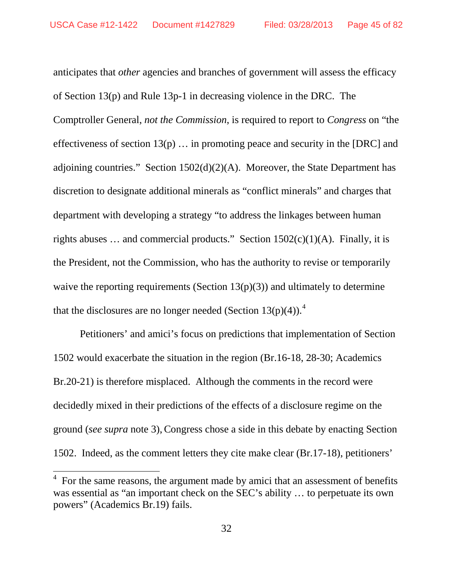anticipates that *other* agencies and branches of government will assess the efficacy of Section 13(p) and Rule 13p-1 in decreasing violence in the DRC. The Comptroller General, *not the Commission*, is required to report to *Congress* on "the effectiveness of section  $13(p)$ ... in promoting peace and security in the [DRC] and adjoining countries." Section  $1502(d)(2)(A)$ . Moreover, the State Department has discretion to designate additional minerals as "conflict minerals" and charges that department with developing a strategy "to address the linkages between human rights abuses ... and commercial products." Section  $1502(c)(1)(A)$ . Finally, it is the President, not the Commission, who has the authority to revise or temporarily waive the reporting requirements (Section  $13(p)(3)$ ) and ultimately to determine that the disclosures are no longer needed (Section 13(p)([4](#page-44-0))).<sup>4</sup>

Petitioners' and amici's focus on predictions that implementation of Section 1502 would exacerbate the situation in the region (Br.16-18, 28-30; Academics Br.20-21) is therefore misplaced. Although the comments in the record were decidedly mixed in their predictions of the effects of a disclosure regime on the ground (*see supra* note 3),Congress chose a side in this debate by enacting Section 1502. Indeed, as the comment letters they cite make clear (Br.17-18), petitioners'

<span id="page-44-0"></span> <sup>4</sup> For the same reasons, the argument made by amici that an assessment of benefits was essential as "an important check on the SEC's ability … to perpetuate its own powers" (Academics Br.19) fails.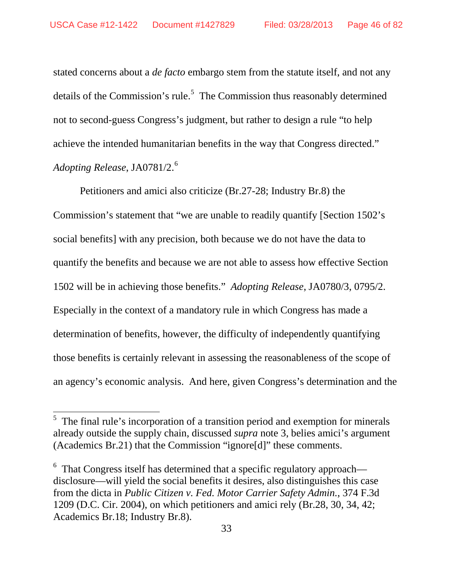stated concerns about a *de facto* embargo stem from the statute itself, and not any details of the Commission's rule.<sup>[5](#page-45-0)</sup> The Commission thus reasonably determined not to second-guess Congress's judgment, but rather to design a rule "to help achieve the intended humanitarian benefits in the way that Congress directed." *Adopting Release*, JA0781/2.[6](#page-45-1)

Petitioners and amici also criticize (Br.27-28; Industry Br.8) the Commission's statement that "we are unable to readily quantify [Section 1502's social benefits] with any precision, both because we do not have the data to quantify the benefits and because we are not able to assess how effective Section 1502 will be in achieving those benefits." *Adopting Release*, JA0780/3, 0795/2. Especially in the context of a mandatory rule in which Congress has made a determination of benefits, however, the difficulty of independently quantifying those benefits is certainly relevant in assessing the reasonableness of the scope of an agency's economic analysis. And here, given Congress's determination and the

<span id="page-45-0"></span><sup>&</sup>lt;sup>5</sup> The final rule's incorporation of a transition period and exemption for minerals already outside the supply chain, discussed *supra* note 3, belies amici's argument (Academics Br.21) that the Commission "ignore[d]" these comments.

<span id="page-45-1"></span> $6$  That Congress itself has determined that a specific regulatory approach disclosure—will yield the social benefits it desires, also distinguishes this case from the dicta in *Public Citizen v. Fed. Motor Carrier Safety Admin.*, 374 F.3d 1209 (D.C. Cir. 2004), on which petitioners and amici rely (Br.28, 30, 34, 42; Academics Br.18; Industry Br.8).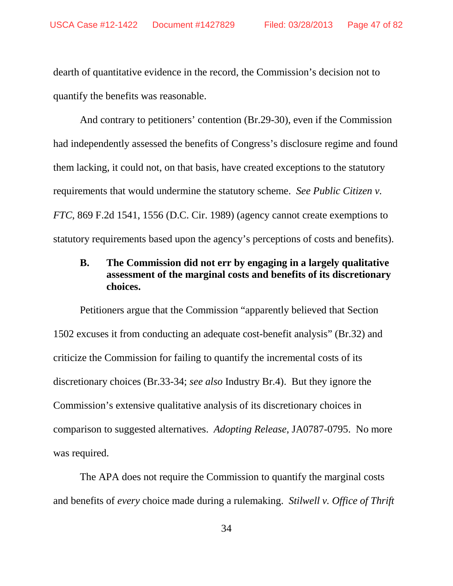dearth of quantitative evidence in the record, the Commission's decision not to quantify the benefits was reasonable.

And contrary to petitioners' contention (Br.29-30), even if the Commission had independently assessed the benefits of Congress's disclosure regime and found them lacking, it could not, on that basis, have created exceptions to the statutory requirements that would undermine the statutory scheme. *See Public Citizen v. FTC*, 869 F.2d 1541, 1556 (D.C. Cir. 1989) (agency cannot create exemptions to statutory requirements based upon the agency's perceptions of costs and benefits).

## **B. The Commission did not err by engaging in a largely qualitative assessment of the marginal costs and benefits of its discretionary choices.**

Petitioners argue that the Commission "apparently believed that Section 1502 excuses it from conducting an adequate cost-benefit analysis" (Br.32) and criticize the Commission for failing to quantify the incremental costs of its discretionary choices (Br.33-34; *see also* Industry Br.4). But they ignore the Commission's extensive qualitative analysis of its discretionary choices in comparison to suggested alternatives. *Adopting Release*, JA0787-0795. No more was required.

The APA does not require the Commission to quantify the marginal costs and benefits of *every* choice made during a rulemaking. *Stilwell v. Office of Thrift*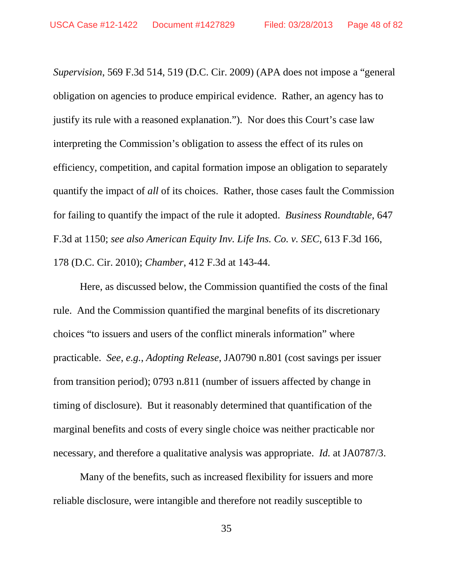*Supervision*, 569 F.3d 514, 519 (D.C. Cir. 2009) (APA does not impose a "general obligation on agencies to produce empirical evidence. Rather, an agency has to justify its rule with a reasoned explanation."). Nor does this Court's case law interpreting the Commission's obligation to assess the effect of its rules on efficiency, competition, and capital formation impose an obligation to separately quantify the impact of *all* of its choices. Rather, those cases fault the Commission for failing to quantify the impact of the rule it adopted. *Business Roundtable*, 647 F.3d at 1150; *see also American Equity Inv. Life Ins. Co. v. SEC*, 613 F.3d 166, 178 (D.C. Cir. 2010); *Chamber*, 412 F.3d at 143-44.

Here, as discussed below, the Commission quantified the costs of the final rule. And the Commission quantified the marginal benefits of its discretionary choices "to issuers and users of the conflict minerals information" where practicable. *See*, *e.g.*, *Adopting Release*, JA0790 n.801 (cost savings per issuer from transition period); 0793 n.811 (number of issuers affected by change in timing of disclosure). But it reasonably determined that quantification of the marginal benefits and costs of every single choice was neither practicable nor necessary, and therefore a qualitative analysis was appropriate. *Id.* at JA0787/3.

Many of the benefits, such as increased flexibility for issuers and more reliable disclosure, were intangible and therefore not readily susceptible to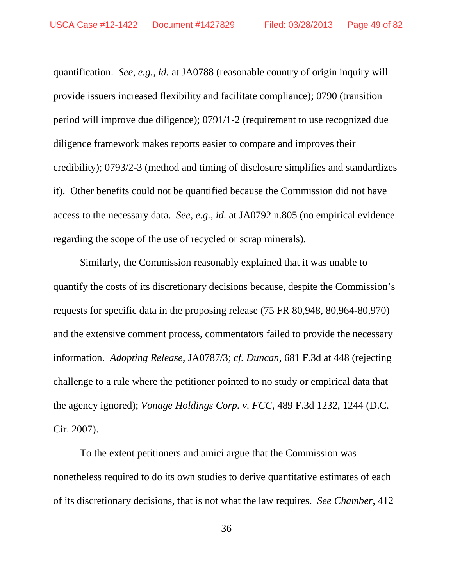quantification. *See*, *e.g.*, *id.* at JA0788 (reasonable country of origin inquiry will provide issuers increased flexibility and facilitate compliance); 0790 (transition period will improve due diligence); 0791/1-2 (requirement to use recognized due diligence framework makes reports easier to compare and improves their credibility); 0793/2-3 (method and timing of disclosure simplifies and standardizes it). Other benefits could not be quantified because the Commission did not have access to the necessary data. *See*, *e.g.*, *id.* at JA0792 n.805 (no empirical evidence regarding the scope of the use of recycled or scrap minerals).

Similarly, the Commission reasonably explained that it was unable to quantify the costs of its discretionary decisions because, despite the Commission's requests for specific data in the proposing release (75 FR 80,948, 80,964-80,970) and the extensive comment process, commentators failed to provide the necessary information. *Adopting Release*, JA0787/3; *cf. Duncan*, 681 F.3d at 448 (rejecting challenge to a rule where the petitioner pointed to no study or empirical data that the agency ignored); *Vonage Holdings Corp. v. FCC*, 489 F.3d 1232, 1244 (D.C. Cir. 2007).

To the extent petitioners and amici argue that the Commission was nonetheless required to do its own studies to derive quantitative estimates of each of its discretionary decisions, that is not what the law requires. *See Chamber*, 412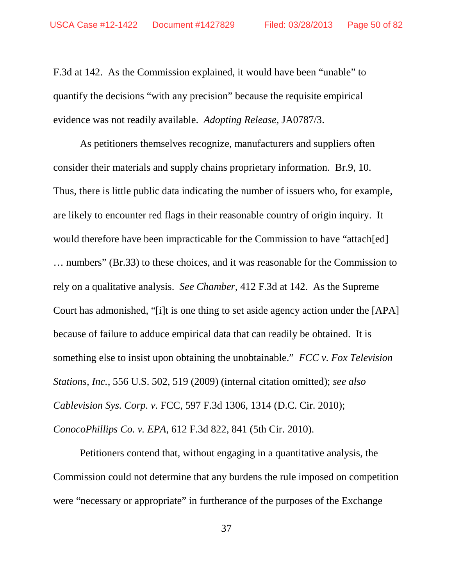F.3d at 142. As the Commission explained, it would have been "unable" to quantify the decisions "with any precision" because the requisite empirical evidence was not readily available. *Adopting Release*, JA0787/3.

As petitioners themselves recognize, manufacturers and suppliers often consider their materials and supply chains proprietary information. Br.9, 10. Thus, there is little public data indicating the number of issuers who, for example, are likely to encounter red flags in their reasonable country of origin inquiry. It would therefore have been impracticable for the Commission to have "attach[ed] … numbers" (Br.33) to these choices, and it was reasonable for the Commission to rely on a qualitative analysis. *See Chamber*, 412 F.3d at 142. As the Supreme Court has admonished, "[i]t is one thing to set aside agency action under the [APA] because of failure to adduce empirical data that can readily be obtained. It is something else to insist upon obtaining the unobtainable." *FCC v. Fox Television Stations, Inc.*, 556 U.S. 502, 519 (2009) (internal citation omitted); *see also Cablevision Sys. Corp. v.* FCC, 597 F.3d 1306, 1314 (D.C. Cir. 2010); *ConocoPhillips Co. v. EPA*, 612 F.3d 822, 841 (5th Cir. 2010).

Petitioners contend that, without engaging in a quantitative analysis, the Commission could not determine that any burdens the rule imposed on competition were "necessary or appropriate" in furtherance of the purposes of the Exchange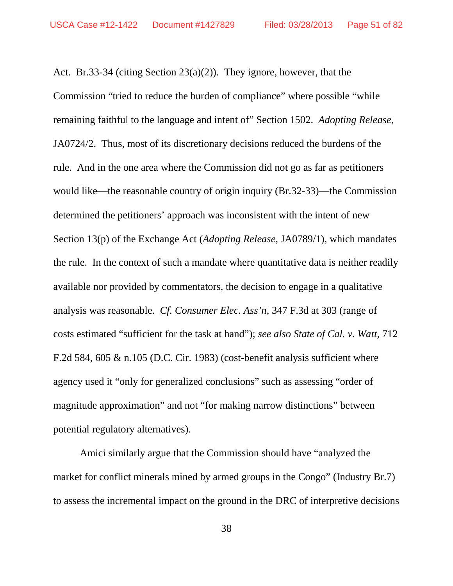Act. Br.33-34 (citing Section 23(a)(2)). They ignore, however, that the Commission "tried to reduce the burden of compliance" where possible "while remaining faithful to the language and intent of" Section 1502. *Adopting Release*, JA0724/2. Thus, most of its discretionary decisions reduced the burdens of the rule. And in the one area where the Commission did not go as far as petitioners would like—the reasonable country of origin inquiry (Br.32-33)—the Commission determined the petitioners' approach was inconsistent with the intent of new Section 13(p) of the Exchange Act (*Adopting Release*, JA0789/1), which mandates the rule. In the context of such a mandate where quantitative data is neither readily available nor provided by commentators, the decision to engage in a qualitative analysis was reasonable. *Cf. Consumer Elec. Ass'n*, 347 F.3d at 303 (range of costs estimated "sufficient for the task at hand"); *see also State of Cal. v. Watt*, 712 F.2d 584, 605 & n.105 (D.C. Cir. 1983) (cost-benefit analysis sufficient where agency used it "only for generalized conclusions" such as assessing "order of magnitude approximation" and not "for making narrow distinctions" between potential regulatory alternatives).

Amici similarly argue that the Commission should have "analyzed the market for conflict minerals mined by armed groups in the Congo" (Industry Br.7) to assess the incremental impact on the ground in the DRC of interpretive decisions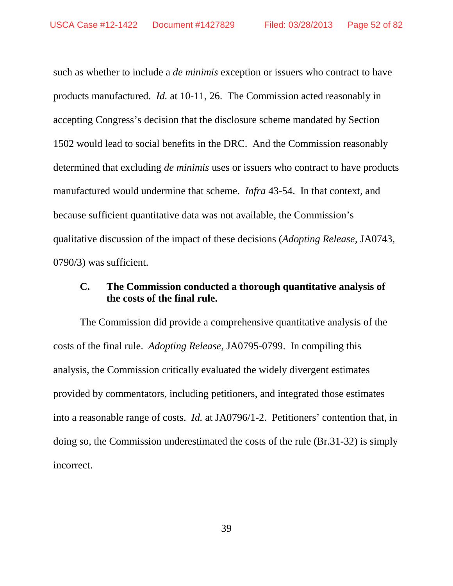such as whether to include a *de minimis* exception or issuers who contract to have products manufactured. *Id.* at 10-11, 26. The Commission acted reasonably in accepting Congress's decision that the disclosure scheme mandated by Section 1502 would lead to social benefits in the DRC. And the Commission reasonably determined that excluding *de minimis* uses or issuers who contract to have products manufactured would undermine that scheme. *Infra* 43-54. In that context, and because sufficient quantitative data was not available, the Commission's qualitative discussion of the impact of these decisions (*Adopting Release*, JA0743, 0790/3) was sufficient.

## **C. The Commission conducted a thorough quantitative analysis of the costs of the final rule.**

The Commission did provide a comprehensive quantitative analysis of the costs of the final rule. *Adopting Release*, JA0795-0799. In compiling this analysis, the Commission critically evaluated the widely divergent estimates provided by commentators, including petitioners, and integrated those estimates into a reasonable range of costs. *Id.* at JA0796/1-2. Petitioners' contention that, in doing so, the Commission underestimated the costs of the rule (Br.31-32) is simply incorrect.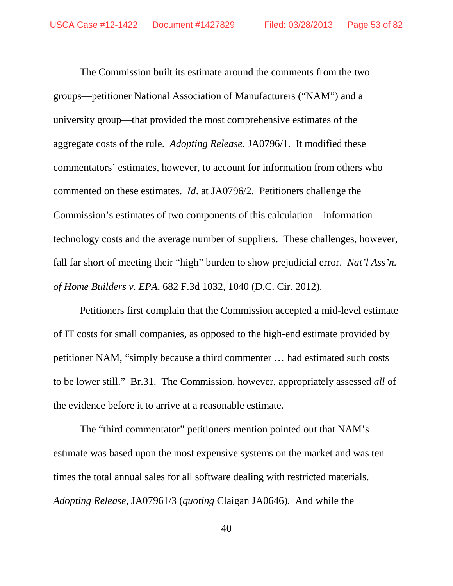The Commission built its estimate around the comments from the two groups—petitioner National Association of Manufacturers ("NAM") and a university group—that provided the most comprehensive estimates of the aggregate costs of the rule. *Adopting Release*, JA0796/1. It modified these commentators' estimates, however, to account for information from others who commented on these estimates. *Id*. at JA0796/2. Petitioners challenge the Commission's estimates of two components of this calculation—information technology costs and the average number of suppliers. These challenges, however, fall far short of meeting their "high" burden to show prejudicial error. *Nat'l Ass'n. of Home Builders v. EPA*, 682 F.3d 1032, 1040 (D.C. Cir. 2012).

Petitioners first complain that the Commission accepted a mid-level estimate of IT costs for small companies, as opposed to the high-end estimate provided by petitioner NAM, "simply because a third commenter … had estimated such costs to be lower still." Br.31. The Commission, however, appropriately assessed *all* of the evidence before it to arrive at a reasonable estimate.

The "third commentator" petitioners mention pointed out that NAM's estimate was based upon the most expensive systems on the market and was ten times the total annual sales for all software dealing with restricted materials. *Adopting Release*, JA07961/3 (*quoting* Claigan JA0646). And while the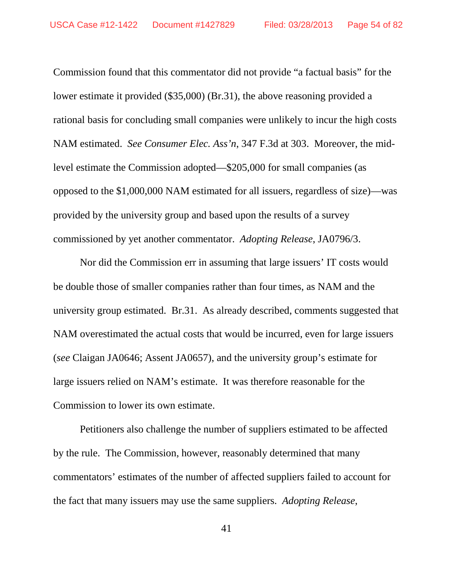Commission found that this commentator did not provide "a factual basis" for the lower estimate it provided (\$35,000) (Br.31), the above reasoning provided a rational basis for concluding small companies were unlikely to incur the high costs NAM estimated. *See Consumer Elec. Ass'n*, 347 F.3d at 303. Moreover, the midlevel estimate the Commission adopted—\$205,000 for small companies (as opposed to the \$1,000,000 NAM estimated for all issuers, regardless of size)—was provided by the university group and based upon the results of a survey commissioned by yet another commentator. *Adopting Release*, JA0796/3.

Nor did the Commission err in assuming that large issuers' IT costs would be double those of smaller companies rather than four times, as NAM and the university group estimated. Br.31. As already described, comments suggested that NAM overestimated the actual costs that would be incurred, even for large issuers (*see* Claigan JA0646; Assent JA0657), and the university group's estimate for large issuers relied on NAM's estimate. It was therefore reasonable for the Commission to lower its own estimate.

Petitioners also challenge the number of suppliers estimated to be affected by the rule. The Commission, however, reasonably determined that many commentators' estimates of the number of affected suppliers failed to account for the fact that many issuers may use the same suppliers. *Adopting Release*,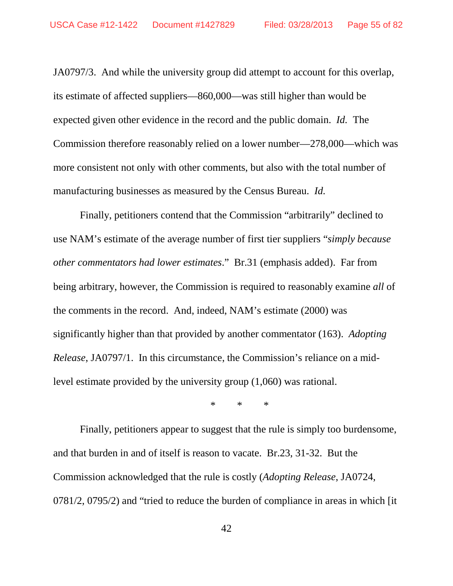JA0797/3. And while the university group did attempt to account for this overlap, its estimate of affected suppliers—860,000—was still higher than would be expected given other evidence in the record and the public domain. *Id.* The Commission therefore reasonably relied on a lower number—278,000—which was more consistent not only with other comments, but also with the total number of manufacturing businesses as measured by the Census Bureau. *Id.*

Finally, petitioners contend that the Commission "arbitrarily" declined to use NAM's estimate of the average number of first tier suppliers "*simply because other commentators had lower estimates*." Br.31 (emphasis added). Far from being arbitrary, however, the Commission is required to reasonably examine *all* of the comments in the record. And, indeed, NAM's estimate (2000) was significantly higher than that provided by another commentator (163). *Adopting Release*, JA0797/1. In this circumstance, the Commission's reliance on a midlevel estimate provided by the university group (1,060) was rational.

\* \* \*

Finally, petitioners appear to suggest that the rule is simply too burdensome, and that burden in and of itself is reason to vacate. Br.23, 31-32. But the Commission acknowledged that the rule is costly (*Adopting Release*, JA0724, 0781/2, 0795/2) and "tried to reduce the burden of compliance in areas in which [it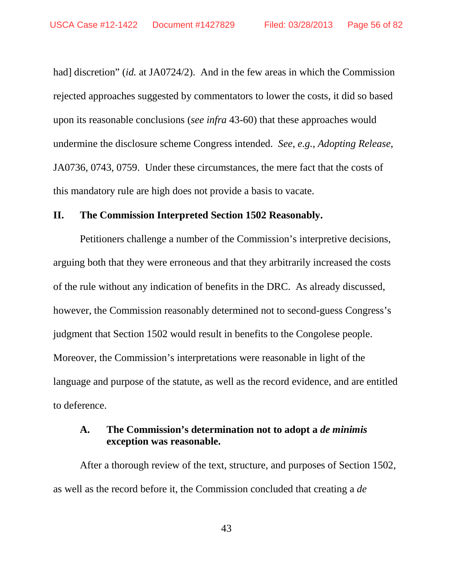had] discretion" *(id.* at JA0724/2). And in the few areas in which the Commission rejected approaches suggested by commentators to lower the costs, it did so based upon its reasonable conclusions (*see infra* 43-60) that these approaches would undermine the disclosure scheme Congress intended. *See*, *e.g.*, *Adopting Release*, JA0736, 0743, 0759. Under these circumstances, the mere fact that the costs of this mandatory rule are high does not provide a basis to vacate.

#### **II. The Commission Interpreted Section 1502 Reasonably.**

Petitioners challenge a number of the Commission's interpretive decisions, arguing both that they were erroneous and that they arbitrarily increased the costs of the rule without any indication of benefits in the DRC. As already discussed, however, the Commission reasonably determined not to second-guess Congress's judgment that Section 1502 would result in benefits to the Congolese people. Moreover, the Commission's interpretations were reasonable in light of the language and purpose of the statute, as well as the record evidence, and are entitled to deference.

### **A. The Commission's determination not to adopt a** *de minimis* **exception was reasonable.**

After a thorough review of the text, structure, and purposes of Section 1502, as well as the record before it, the Commission concluded that creating a *de* 

43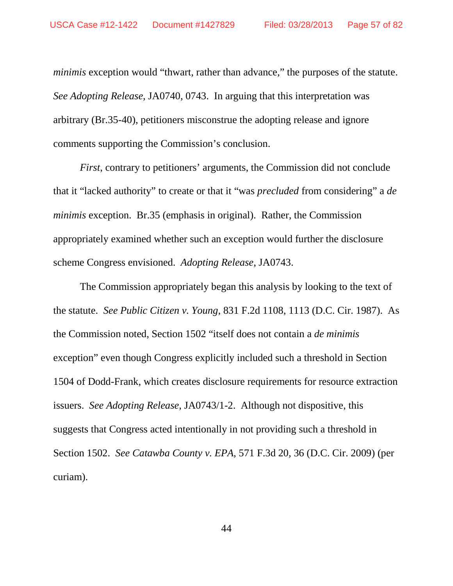*minimis* exception would "thwart, rather than advance," the purposes of the statute. *See Adopting Release*, JA0740, 0743. In arguing that this interpretation was arbitrary (Br.35-40), petitioners misconstrue the adopting release and ignore comments supporting the Commission's conclusion.

*First*, contrary to petitioners' arguments, the Commission did not conclude that it "lacked authority" to create or that it "was *precluded* from considering" a *de minimis* exception. Br.35 (emphasis in original). Rather, the Commission appropriately examined whether such an exception would further the disclosure scheme Congress envisioned. *Adopting Release*, JA0743.

The Commission appropriately began this analysis by looking to the text of the statute. *See Public Citizen v. Young*, 831 F.2d 1108, 1113 (D.C. Cir. 1987). As the Commission noted, Section 1502 "itself does not contain a *de minimis* exception" even though Congress explicitly included such a threshold in Section 1504 of Dodd-Frank, which creates disclosure requirements for resource extraction issuers. *See Adopting Release*, JA0743/1-2. Although not dispositive, this suggests that Congress acted intentionally in not providing such a threshold in Section 1502. *See Catawba County v. EPA*, 571 F.3d 20, 36 (D.C. Cir. 2009) (per curiam).

44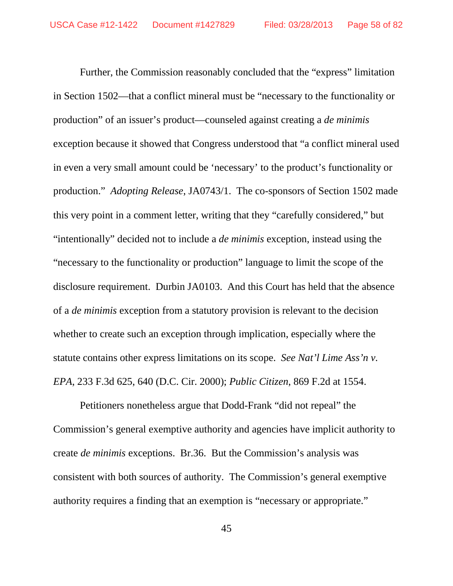Further, the Commission reasonably concluded that the "express" limitation in Section 1502—that a conflict mineral must be "necessary to the functionality or production" of an issuer's product—counseled against creating a *de minimis*  exception because it showed that Congress understood that "a conflict mineral used in even a very small amount could be 'necessary' to the product's functionality or production." *Adopting Release*, JA0743/1. The co-sponsors of Section 1502 made this very point in a comment letter, writing that they "carefully considered," but "intentionally" decided not to include a *de minimis* exception, instead using the "necessary to the functionality or production" language to limit the scope of the disclosure requirement. Durbin JA0103. And this Court has held that the absence of a *de minimis* exception from a statutory provision is relevant to the decision whether to create such an exception through implication, especially where the statute contains other express limitations on its scope. *See Nat'l Lime Ass'n v. EPA*, 233 F.3d 625, 640 (D.C. Cir. 2000); *Public Citizen*, 869 F.2d at 1554.

Petitioners nonetheless argue that Dodd-Frank "did not repeal" the Commission's general exemptive authority and agencies have implicit authority to create *de minimis* exceptions. Br.36. But the Commission's analysis was consistent with both sources of authority. The Commission's general exemptive authority requires a finding that an exemption is "necessary or appropriate."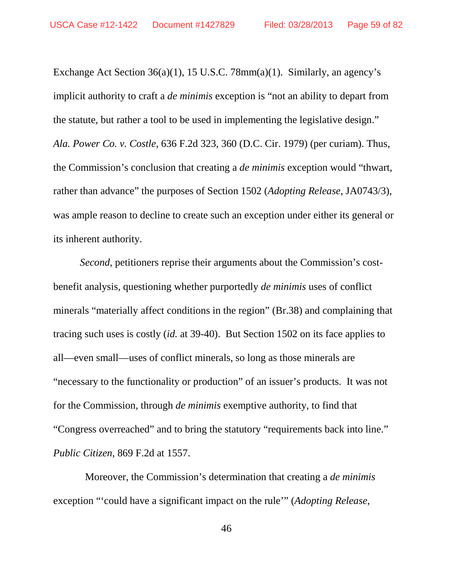Exchange Act Section 36(a)(1), 15 U.S.C. 78mm(a)(1). Similarly, an agency's implicit authority to craft a *de minimis* exception is "not an ability to depart from the statute, but rather a tool to be used in implementing the legislative design." *Ala. Power Co. v. Costle*, 636 F.2d 323, 360 (D.C. Cir. 1979) (per curiam). Thus, the Commission's conclusion that creating a *de minimis* exception would "thwart, rather than advance" the purposes of Section 1502 (*Adopting Release*, JA0743/3), was ample reason to decline to create such an exception under either its general or its inherent authority.

*Second*, petitioners reprise their arguments about the Commission's costbenefit analysis, questioning whether purportedly *de minimis* uses of conflict minerals "materially affect conditions in the region" (Br.38) and complaining that tracing such uses is costly (*id.* at 39-40). But Section 1502 on its face applies to all—even small—uses of conflict minerals, so long as those minerals are "necessary to the functionality or production" of an issuer's products. It was not for the Commission, through *de minimis* exemptive authority, to find that "Congress overreached" and to bring the statutory "requirements back into line." *Public Citizen*, 869 F.2d at 1557.

 Moreover, the Commission's determination that creating a *de minimis*  exception "'could have a significant impact on the rule'" (*Adopting Release*,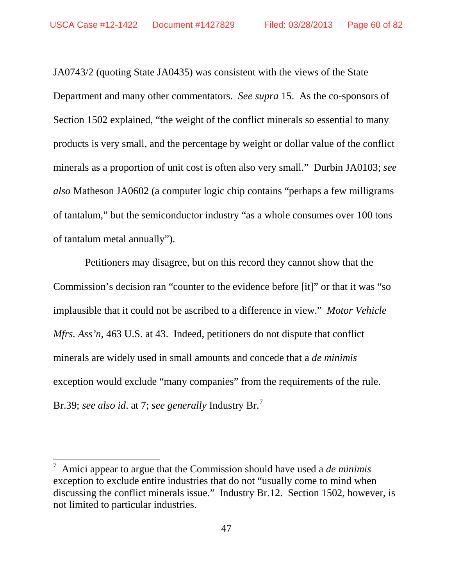JA0743/2 (quoting State JA0435) was consistent with the views of the State Department and many other commentators. *See supra* 15. As the co-sponsors of Section 1502 explained, "the weight of the conflict minerals so essential to many products is very small, and the percentage by weight or dollar value of the conflict minerals as a proportion of unit cost is often also very small." Durbin JA0103; *see also* Matheson JA0602 (a computer logic chip contains "perhaps a few milligrams of tantalum," but the semiconductor industry "as a whole consumes over 100 tons of tantalum metal annually").

 Petitioners may disagree, but on this record they cannot show that the Commission's decision ran "counter to the evidence before [it]" or that it was "so implausible that it could not be ascribed to a difference in view." *Motor Vehicle Mfrs. Ass'n*, 463 U.S. at 43. Indeed, petitioners do not dispute that conflict minerals are widely used in small amounts and concede that a *de minimis* exception would exclude "many companies" from the requirements of the rule. Br.39; *see also id*. at 7; *see generally* Industry Br. [7](#page-59-0)

<span id="page-59-0"></span> <sup>7</sup> Amici appear to argue that the Commission should have used a *de minimis*  exception to exclude entire industries that do not "usually come to mind when discussing the conflict minerals issue." Industry Br.12. Section 1502, however, is not limited to particular industries.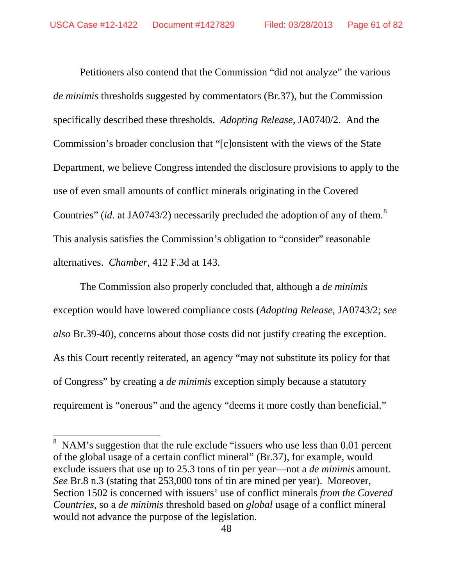Petitioners also contend that the Commission "did not analyze" the various *de minimis* thresholds suggested by commentators (Br.37), but the Commission specifically described these thresholds. *Adopting Release*, JA0740/2. And the Commission's broader conclusion that "[c]onsistent with the views of the State Department, we believe Congress intended the disclosure provisions to apply to the use of even small amounts of conflict minerals originating in the Covered Countries" (*id.* at JA0743/2) necessarily precluded the adoption of any of them.<sup>[8](#page-60-0)</sup> This analysis satisfies the Commission's obligation to "consider" reasonable alternatives. *Chamber*, 412 F.3d at 143.

The Commission also properly concluded that, although a *de minimis*  exception would have lowered compliance costs (*Adopting Release*, JA0743/2; *see also* Br.39-40), concerns about those costs did not justify creating the exception. As this Court recently reiterated, an agency "may not substitute its policy for that of Congress" by creating a *de minimis* exception simply because a statutory requirement is "onerous" and the agency "deems it more costly than beneficial."

<span id="page-60-0"></span><sup>&</sup>lt;sup>8</sup> NAM's suggestion that the rule exclude "issuers who use less than 0.01 percent of the global usage of a certain conflict mineral" (Br.37), for example, would exclude issuers that use up to 25.3 tons of tin per year—not a *de minimis* amount. *See* Br.8 n.3 (stating that 253,000 tons of tin are mined per year). Moreover, Section 1502 is concerned with issuers' use of conflict minerals *from the Covered Countries*, so a *de minimis* threshold based on *global* usage of a conflict mineral would not advance the purpose of the legislation.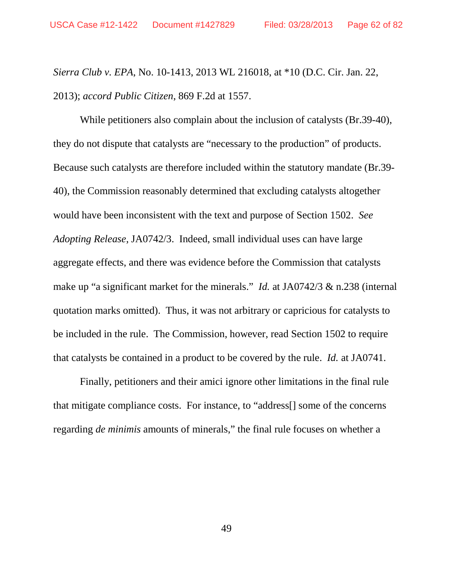*Sierra Club v. EPA*, No. 10-1413, 2013 WL 216018, at \*10 (D.C. Cir. Jan. 22, 2013); *accord Public Citizen*, 869 F.2d at 1557.

While petitioners also complain about the inclusion of catalysts (Br.39-40), they do not dispute that catalysts are "necessary to the production" of products. Because such catalysts are therefore included within the statutory mandate (Br.39- 40), the Commission reasonably determined that excluding catalysts altogether would have been inconsistent with the text and purpose of Section 1502. *See Adopting Release*, JA0742/3. Indeed, small individual uses can have large aggregate effects, and there was evidence before the Commission that catalysts make up "a significant market for the minerals." *Id.* at JA0742/3 & n.238 (internal quotation marks omitted). Thus, it was not arbitrary or capricious for catalysts to be included in the rule. The Commission, however, read Section 1502 to require that catalysts be contained in a product to be covered by the rule. *Id.* at JA0741.

Finally, petitioners and their amici ignore other limitations in the final rule that mitigate compliance costs. For instance, to "address[] some of the concerns regarding *de minimis* amounts of minerals," the final rule focuses on whether a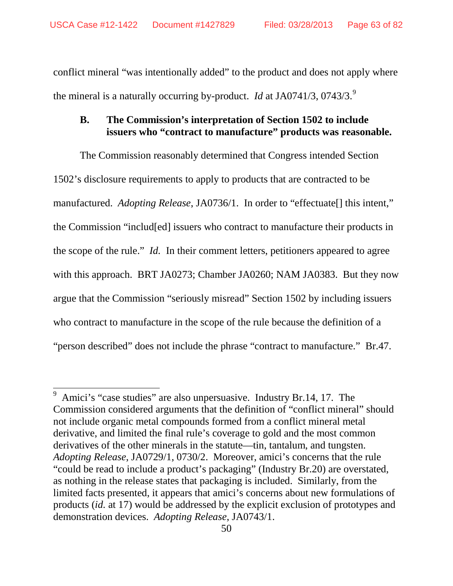conflict mineral "was intentionally added" to the product and does not apply where the mineral is a naturally occurring by-product. *Id* at JA0741/3, 0743/3.[9](#page-62-0)

## **B. The Commission's interpretation of Section 1502 to include issuers who "contract to manufacture" products was reasonable.**

The Commission reasonably determined that Congress intended Section 1502's disclosure requirements to apply to products that are contracted to be manufactured. *Adopting Release*, JA0736/1. In order to "effectuate[] this intent," the Commission "includ[ed] issuers who contract to manufacture their products in the scope of the rule." *Id.* In their comment letters, petitioners appeared to agree with this approach. BRT JA0273; Chamber JA0260; NAM JA0383. But they now argue that the Commission "seriously misread" Section 1502 by including issuers who contract to manufacture in the scope of the rule because the definition of a "person described" does not include the phrase "contract to manufacture." Br.47.

<span id="page-62-0"></span>Amici's "case studies" are also unpersuasive. Industry Br.14, 17. The Commission considered arguments that the definition of "conflict mineral" should not include organic metal compounds formed from a conflict mineral metal derivative, and limited the final rule's coverage to gold and the most common derivatives of the other minerals in the statute—tin, tantalum, and tungsten. *Adopting Release*, JA0729/1, 0730/2. Moreover, amici's concerns that the rule "could be read to include a product's packaging" (Industry Br.20) are overstated, as nothing in the release states that packaging is included. Similarly, from the limited facts presented, it appears that amici's concerns about new formulations of products (*id.* at 17) would be addressed by the explicit exclusion of prototypes and demonstration devices. *Adopting Release*, JA0743/1.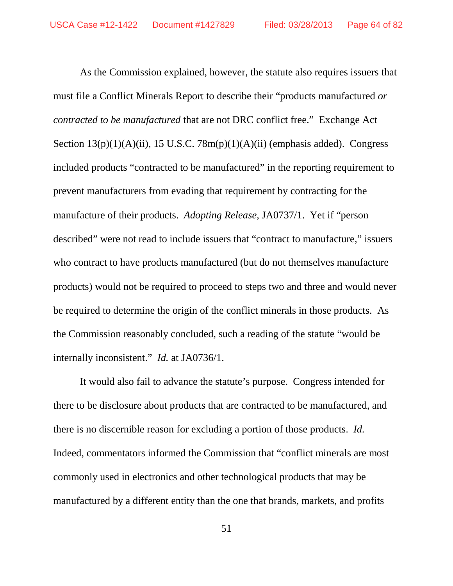As the Commission explained, however, the statute also requires issuers that must file a Conflict Minerals Report to describe their "products manufactured *or contracted to be manufactured* that are not DRC conflict free." Exchange Act Section  $13(p)(1)(A)(ii)$ ,  $15$  U.S.C.  $78m(p)(1)(A)(ii)$  (emphasis added). Congress included products "contracted to be manufactured" in the reporting requirement to prevent manufacturers from evading that requirement by contracting for the manufacture of their products. *Adopting Release*, JA0737/1. Yet if "person described" were not read to include issuers that "contract to manufacture," issuers who contract to have products manufactured (but do not themselves manufacture products) would not be required to proceed to steps two and three and would never be required to determine the origin of the conflict minerals in those products.As the Commission reasonably concluded, such a reading of the statute "would be internally inconsistent." *Id.* at JA0736/1.

It would also fail to advance the statute's purpose. Congress intended for there to be disclosure about products that are contracted to be manufactured, and there is no discernible reason for excluding a portion of those products. *Id.* Indeed, commentators informed the Commission that "conflict minerals are most commonly used in electronics and other technological products that may be manufactured by a different entity than the one that brands, markets, and profits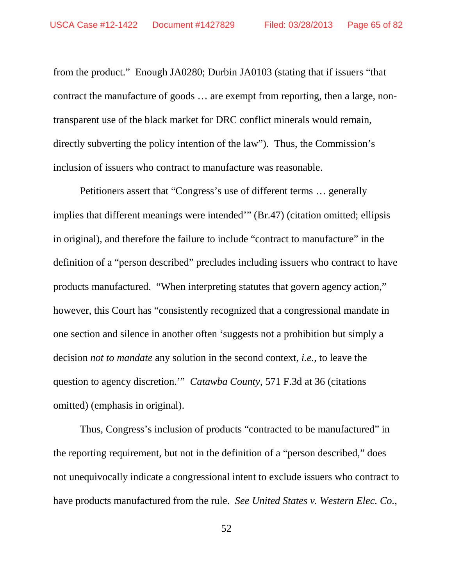from the product." Enough JA0280; Durbin JA0103 (stating that if issuers "that contract the manufacture of goods … are exempt from reporting, then a large, nontransparent use of the black market for DRC conflict minerals would remain, directly subverting the policy intention of the law"). Thus, the Commission's inclusion of issuers who contract to manufacture was reasonable.

Petitioners assert that "Congress's use of different terms … generally implies that different meanings were intended'" (Br.47) (citation omitted; ellipsis in original), and therefore the failure to include "contract to manufacture" in the definition of a "person described" precludes including issuers who contract to have products manufactured. "When interpreting statutes that govern agency action," however, this Court has "consistently recognized that a congressional mandate in one section and silence in another often 'suggests not a prohibition but simply a decision *not to mandate* any solution in the second context, *i.e.*, to leave the question to agency discretion.'" *Catawba County*, 571 F.3d at 36 (citations omitted) (emphasis in original).

Thus, Congress's inclusion of products "contracted to be manufactured" in the reporting requirement, but not in the definition of a "person described," does not unequivocally indicate a congressional intent to exclude issuers who contract to have products manufactured from the rule. *See United States v. Western Elec. Co.*,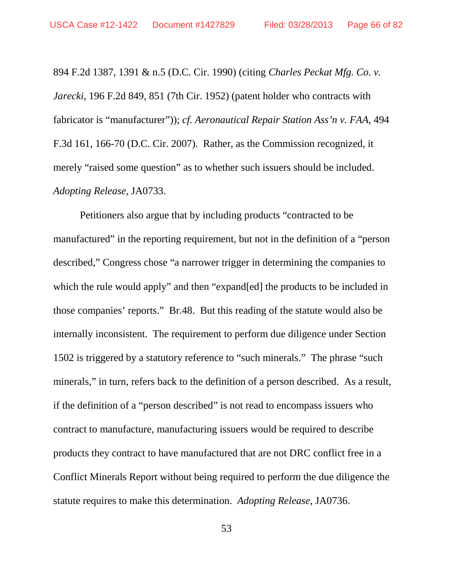894 F.2d 1387, 1391 & n.5 (D.C. Cir. 1990) (citing *Charles Peckat Mfg. Co. v. Jarecki*, 196 F.2d 849, 851 (7th Cir. 1952) (patent holder who contracts with fabricator is "manufacturer")); *cf. Aeronautical Repair Station Ass'n v. FAA*, 494 F.3d 161, 166-70 (D.C. Cir. 2007). Rather, as the Commission recognized, it merely "raised some question" as to whether such issuers should be included. *Adopting Release,* JA0733.

Petitioners also argue that by including products "contracted to be manufactured" in the reporting requirement, but not in the definition of a "person described," Congress chose "a narrower trigger in determining the companies to which the rule would apply" and then "expand[ed] the products to be included in those companies' reports." Br.48. But this reading of the statute would also be internally inconsistent. The requirement to perform due diligence under Section 1502 is triggered by a statutory reference to "such minerals." The phrase "such minerals," in turn, refers back to the definition of a person described. As a result, if the definition of a "person described" is not read to encompass issuers who contract to manufacture, manufacturing issuers would be required to describe products they contract to have manufactured that are not DRC conflict free in a Conflict Minerals Report without being required to perform the due diligence the statute requires to make this determination. *Adopting Release*, JA0736.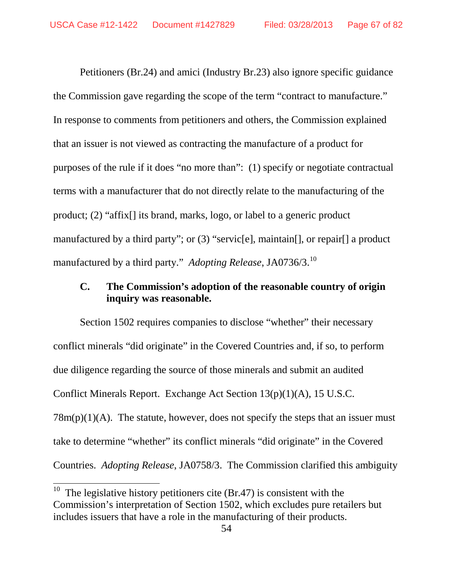Petitioners (Br.24) and amici (Industry Br.23) also ignore specific guidance the Commission gave regarding the scope of the term "contract to manufacture." In response to comments from petitioners and others, the Commission explained that an issuer is not viewed as contracting the manufacture of a product for purposes of the rule if it does "no more than": (1) specify or negotiate contractual terms with a manufacturer that do not directly relate to the manufacturing of the product; (2) "affix[] its brand, marks, logo, or label to a generic product manufactured by a third party"; or (3) "servic[e], maintain[], or repair[] a product manufactured by a third party." *Adopting Release*, JA0736/3.[10](#page-66-0)

# **C. The Commission's adoption of the reasonable country of origin inquiry was reasonable.**

Section 1502 requires companies to disclose "whether" their necessary conflict minerals "did originate" in the Covered Countries and, if so, to perform due diligence regarding the source of those minerals and submit an audited Conflict Minerals Report. Exchange Act Section 13(p)(1)(A), 15 U.S.C.  $78m(p)(1)(A)$ . The statute, however, does not specify the steps that an issuer must take to determine "whether" its conflict minerals "did originate" in the Covered Countries. *Adopting Release*, JA0758/3. The Commission clarified this ambiguity

<span id="page-66-0"></span><sup>&</sup>lt;sup>10</sup> The legislative history petitioners cite (Br.47) is consistent with the Commission's interpretation of Section 1502, which excludes pure retailers but includes issuers that have a role in the manufacturing of their products.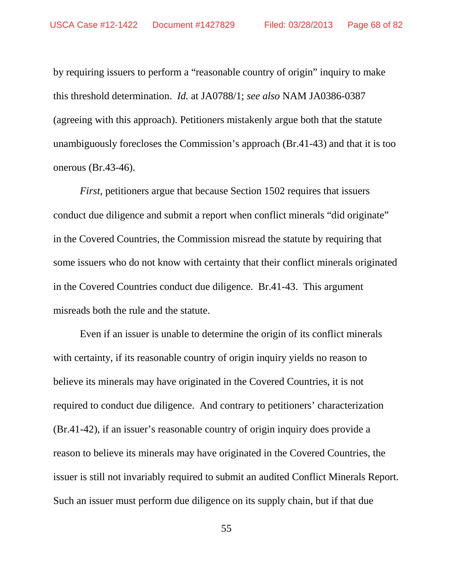by requiring issuers to perform a "reasonable country of origin" inquiry to make this threshold determination. *Id.* at JA0788/1; *see also* NAM JA0386-0387 (agreeing with this approach). Petitioners mistakenly argue both that the statute unambiguously forecloses the Commission's approach (Br.41-43) and that it is too onerous (Br.43-46).

*First*, petitioners argue that because Section 1502 requires that issuers conduct due diligence and submit a report when conflict minerals "did originate" in the Covered Countries, the Commission misread the statute by requiring that some issuers who do not know with certainty that their conflict minerals originated in the Covered Countries conduct due diligence. Br.41-43. This argument misreads both the rule and the statute.

Even if an issuer is unable to determine the origin of its conflict minerals with certainty, if its reasonable country of origin inquiry yields no reason to believe its minerals may have originated in the Covered Countries, it is not required to conduct due diligence. And contrary to petitioners' characterization (Br.41-42), if an issuer's reasonable country of origin inquiry does provide a reason to believe its minerals may have originated in the Covered Countries, the issuer is still not invariably required to submit an audited Conflict Minerals Report. Such an issuer must perform due diligence on its supply chain, but if that due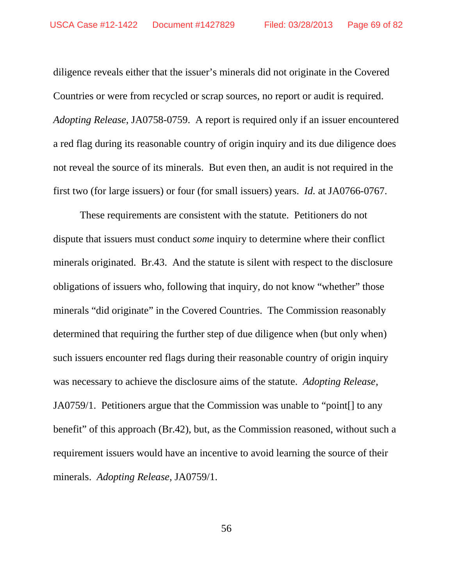diligence reveals either that the issuer's minerals did not originate in the Covered Countries or were from recycled or scrap sources, no report or audit is required. *Adopting Release*, JA0758-0759. A report is required only if an issuer encountered a red flag during its reasonable country of origin inquiry and its due diligence does not reveal the source of its minerals. But even then, an audit is not required in the first two (for large issuers) or four (for small issuers) years. *Id.* at JA0766-0767.

These requirements are consistent with the statute. Petitioners do not dispute that issuers must conduct *some* inquiry to determine where their conflict minerals originated. Br.43. And the statute is silent with respect to the disclosure obligations of issuers who, following that inquiry, do not know "whether" those minerals "did originate" in the Covered Countries. The Commission reasonably determined that requiring the further step of due diligence when (but only when) such issuers encounter red flags during their reasonable country of origin inquiry was necessary to achieve the disclosure aims of the statute. *Adopting Release*, JA0759/1. Petitioners argue that the Commission was unable to "point[] to any benefit" of this approach (Br.42), but, as the Commission reasoned, without such a requirement issuers would have an incentive to avoid learning the source of their minerals. *Adopting Release*, JA0759/1.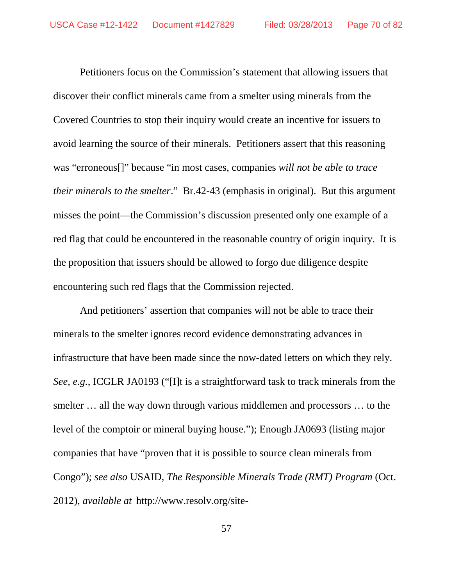Petitioners focus on the Commission's statement that allowing issuers that discover their conflict minerals came from a smelter using minerals from the Covered Countries to stop their inquiry would create an incentive for issuers to avoid learning the source of their minerals. Petitioners assert that this reasoning was "erroneous[]" because "in most cases, companies *will not be able to trace their minerals to the smelter*." Br.42-43 (emphasis in original). But this argument misses the point—the Commission's discussion presented only one example of a red flag that could be encountered in the reasonable country of origin inquiry. It is the proposition that issuers should be allowed to forgo due diligence despite encountering such red flags that the Commission rejected.

And petitioners' assertion that companies will not be able to trace their minerals to the smelter ignores record evidence demonstrating advances in infrastructure that have been made since the now-dated letters on which they rely. *See, e.g.*, ICGLR JA0193 ("[I]t is a straightforward task to track minerals from the smelter … all the way down through various middlemen and processors … to the level of the comptoir or mineral buying house."); Enough JA0693 (listing major companies that have "proven that it is possible to source clean minerals from Congo"); *see also* USAID, *The Responsible Minerals Trade (RMT) Program* (Oct. 2012), *available at* http://www.resolv.org/site-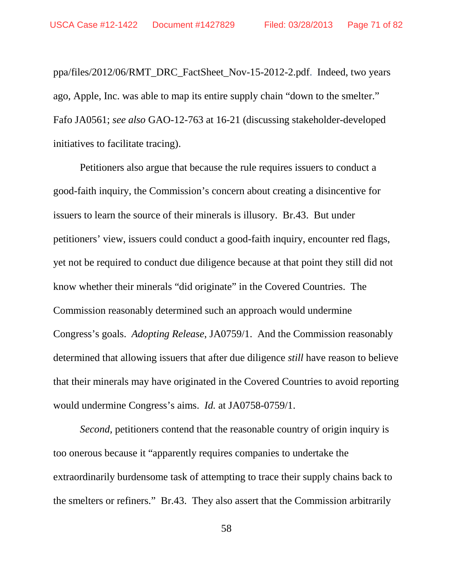ppa/files/2012/06/RMT\_DRC\_FactSheet\_Nov-15-2012-2.pdf. Indeed, two years ago, Apple, Inc. was able to map its entire supply chain "down to the smelter." Fafo JA0561; *see also* GAO-12-763 at 16-21 (discussing stakeholder-developed initiatives to facilitate tracing).

Petitioners also argue that because the rule requires issuers to conduct a good-faith inquiry, the Commission's concern about creating a disincentive for issuers to learn the source of their minerals is illusory. Br.43. But under petitioners' view, issuers could conduct a good-faith inquiry, encounter red flags, yet not be required to conduct due diligence because at that point they still did not know whether their minerals "did originate" in the Covered Countries. The Commission reasonably determined such an approach would undermine Congress's goals. *Adopting Release*, JA0759/1. And the Commission reasonably determined that allowing issuers that after due diligence *still* have reason to believe that their minerals may have originated in the Covered Countries to avoid reporting would undermine Congress's aims. *Id.* at JA0758-0759/1.

*Second*, petitioners contend that the reasonable country of origin inquiry is too onerous because it "apparently requires companies to undertake the extraordinarily burdensome task of attempting to trace their supply chains back to the smelters or refiners." Br.43. They also assert that the Commission arbitrarily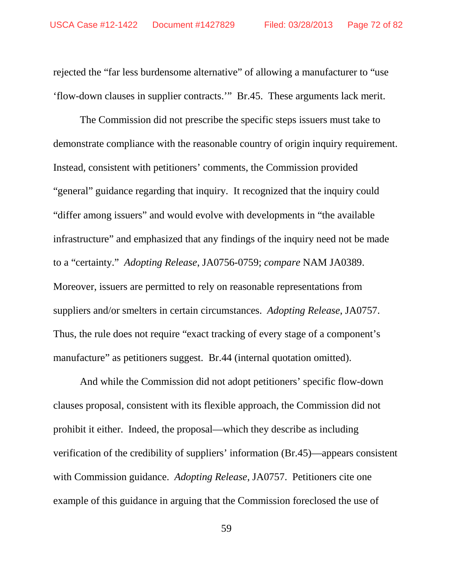rejected the "far less burdensome alternative" of allowing a manufacturer to "use 'flow-down clauses in supplier contracts.'" Br.45. These arguments lack merit.

The Commission did not prescribe the specific steps issuers must take to demonstrate compliance with the reasonable country of origin inquiry requirement. Instead, consistent with petitioners' comments, the Commission provided "general" guidance regarding that inquiry. It recognized that the inquiry could "differ among issuers" and would evolve with developments in "the available infrastructure" and emphasized that any findings of the inquiry need not be made to a "certainty." *Adopting Release*, JA0756-0759; *compare* NAM JA0389. Moreover, issuers are permitted to rely on reasonable representations from suppliers and/or smelters in certain circumstances. *Adopting Release*, JA0757. Thus, the rule does not require "exact tracking of every stage of a component's manufacture" as petitioners suggest. Br.44 (internal quotation omitted).

And while the Commission did not adopt petitioners' specific flow-down clauses proposal, consistent with its flexible approach, the Commission did not prohibit it either. Indeed, the proposal—which they describe as including verification of the credibility of suppliers' information (Br.45)—appears consistent with Commission guidance. *Adopting Release*, JA0757. Petitioners cite one example of this guidance in arguing that the Commission foreclosed the use of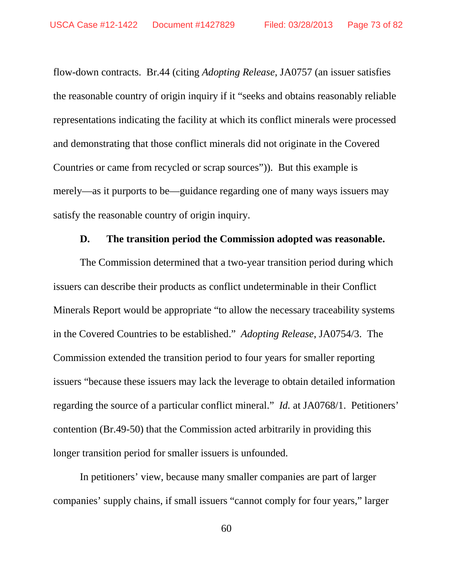flow-down contracts. Br.44 (citing *Adopting Release*, JA0757 (an issuer satisfies the reasonable country of origin inquiry if it "seeks and obtains reasonably reliable representations indicating the facility at which its conflict minerals were processed and demonstrating that those conflict minerals did not originate in the Covered Countries or came from recycled or scrap sources")). But this example is merely—as it purports to be—guidance regarding one of many ways issuers may satisfy the reasonable country of origin inquiry.

#### **D. The transition period the Commission adopted was reasonable.**

The Commission determined that a two-year transition period during which issuers can describe their products as conflict undeterminable in their Conflict Minerals Report would be appropriate "to allow the necessary traceability systems in the Covered Countries to be established." *Adopting Release*, JA0754/3. The Commission extended the transition period to four years for smaller reporting issuers "because these issuers may lack the leverage to obtain detailed information regarding the source of a particular conflict mineral." *Id.* at JA0768/1. Petitioners' contention (Br.49-50) that the Commission acted arbitrarily in providing this longer transition period for smaller issuers is unfounded.

In petitioners' view, because many smaller companies are part of larger companies' supply chains, if small issuers "cannot comply for four years," larger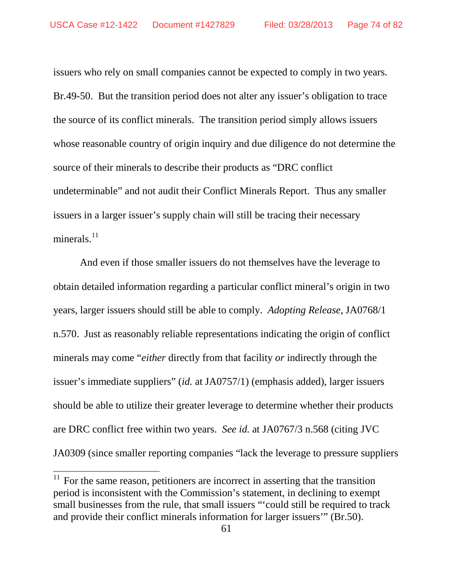issuers who rely on small companies cannot be expected to comply in two years. Br.49-50. But the transition period does not alter any issuer's obligation to trace the source of its conflict minerals. The transition period simply allows issuers whose reasonable country of origin inquiry and due diligence do not determine the source of their minerals to describe their products as "DRC conflict undeterminable" and not audit their Conflict Minerals Report. Thus any smaller issuers in a larger issuer's supply chain will still be tracing their necessary minerals.<sup>[11](#page-73-0)</sup>

And even if those smaller issuers do not themselves have the leverage to obtain detailed information regarding a particular conflict mineral's origin in two years, larger issuers should still be able to comply. *Adopting Release*, JA0768/1 n.570. Just as reasonably reliable representations indicating the origin of conflict minerals may come "*either* directly from that facility *or* indirectly through the issuer's immediate suppliers" (*id.* at JA0757/1) (emphasis added), larger issuers should be able to utilize their greater leverage to determine whether their products are DRC conflict free within two years. *See id.* at JA0767/3 n.568 (citing JVC JA0309 (since smaller reporting companies "lack the leverage to pressure suppliers

<span id="page-73-0"></span> $11$  For the same reason, petitioners are incorrect in asserting that the transition period is inconsistent with the Commission's statement, in declining to exempt small businesses from the rule, that small issuers "'could still be required to track and provide their conflict minerals information for larger issuers'" (Br.50).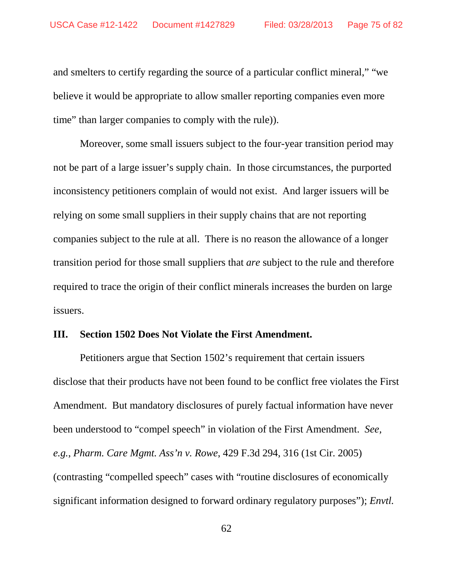and smelters to certify regarding the source of a particular conflict mineral," "we believe it would be appropriate to allow smaller reporting companies even more time" than larger companies to comply with the rule)).

Moreover, some small issuers subject to the four-year transition period may not be part of a large issuer's supply chain. In those circumstances, the purported inconsistency petitioners complain of would not exist. And larger issuers will be relying on some small suppliers in their supply chains that are not reporting companies subject to the rule at all. There is no reason the allowance of a longer transition period for those small suppliers that *are* subject to the rule and therefore required to trace the origin of their conflict minerals increases the burden on large issuers.

### **III. Section 1502 Does Not Violate the First Amendment.**

Petitioners argue that Section 1502's requirement that certain issuers disclose that their products have not been found to be conflict free violates the First Amendment. But mandatory disclosures of purely factual information have never been understood to "compel speech" in violation of the First Amendment. *See, e.g.*, *Pharm. Care Mgmt. Ass'n v. Rowe*, 429 F.3d 294, 316 (1st Cir. 2005) (contrasting "compelled speech" cases with "routine disclosures of economically significant information designed to forward ordinary regulatory purposes"); *Envtl.*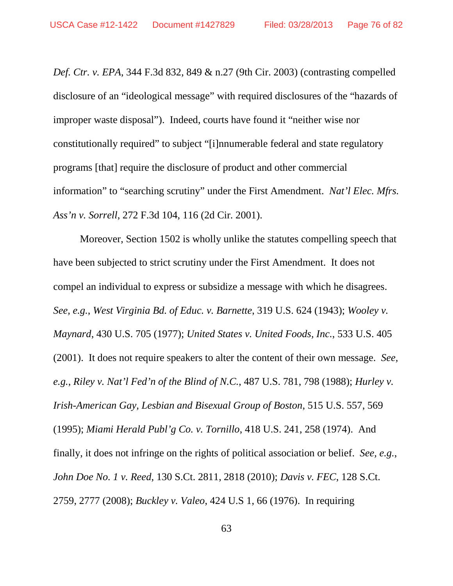*Def. Ctr. v. EPA*, 344 F.3d 832, 849 & n.27 (9th Cir. 2003) (contrasting compelled disclosure of an "ideological message" with required disclosures of the "hazards of improper waste disposal"). Indeed, courts have found it "neither wise nor constitutionally required" to subject "[i]nnumerable federal and state regulatory programs [that] require the disclosure of product and other commercial information" to "searching scrutiny" under the First Amendment. *Nat'l Elec. Mfrs. Ass'n v. Sorrell*, 272 F.3d 104, 116 (2d Cir. 2001).

Moreover, Section 1502 is wholly unlike the statutes compelling speech that have been subjected to strict scrutiny under the First Amendment. It does not compel an individual to express or subsidize a message with which he disagrees. *See, e.g.*, *West Virginia Bd. of Educ. v. Barnette*, 319 U.S. 624 (1943); *Wooley v. Maynard*, 430 U.S. 705 (1977); *United States v. United Foods, Inc.*, 533 U.S. 405 (2001). It does not require speakers to alter the content of their own message. *See, e.g.*, *Riley v. Nat'l Fed'n of the Blind of N.C.*, 487 U.S. 781, 798 (1988); *Hurley v. Irish-American Gay, Lesbian and Bisexual Group of Boston*, 515 U.S. 557, 569 (1995); *Miami Herald Publ'g Co. v. Tornillo*, 418 U.S. 241, 258 (1974). And finally, it does not infringe on the rights of political association or belief. *See, e.g.*, *John Doe No. 1 v. Reed*, 130 S.Ct. 2811, 2818 (2010); *Davis v. FEC*, 128 S.Ct. 2759, 2777 (2008); *Buckley v. Valeo*, 424 U.S 1, 66 (1976). In requiring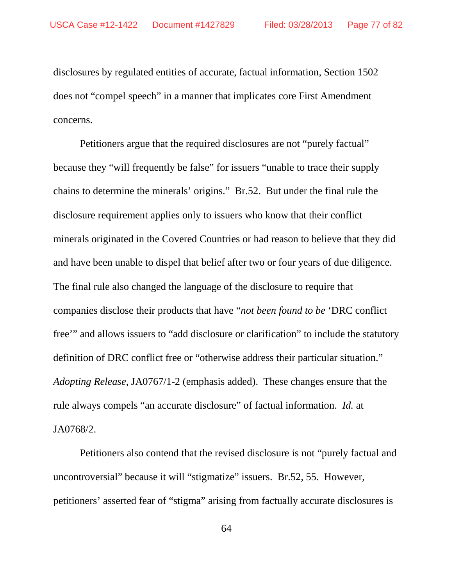disclosures by regulated entities of accurate, factual information, Section 1502 does not "compel speech" in a manner that implicates core First Amendment concerns.

Petitioners argue that the required disclosures are not "purely factual" because they "will frequently be false" for issuers "unable to trace their supply chains to determine the minerals' origins." Br.52. But under the final rule the disclosure requirement applies only to issuers who know that their conflict minerals originated in the Covered Countries or had reason to believe that they did and have been unable to dispel that belief after two or four years of due diligence. The final rule also changed the language of the disclosure to require that companies disclose their products that have "*not been found to be* 'DRC conflict free'" and allows issuers to "add disclosure or clarification" to include the statutory definition of DRC conflict free or "otherwise address their particular situation." *Adopting Release*, JA0767/1-2 (emphasis added). These changes ensure that the rule always compels "an accurate disclosure" of factual information. *Id.* at JA0768/2.

Petitioners also contend that the revised disclosure is not "purely factual and uncontroversial" because it will "stigmatize" issuers. Br.52, 55. However, petitioners' asserted fear of "stigma" arising from factually accurate disclosures is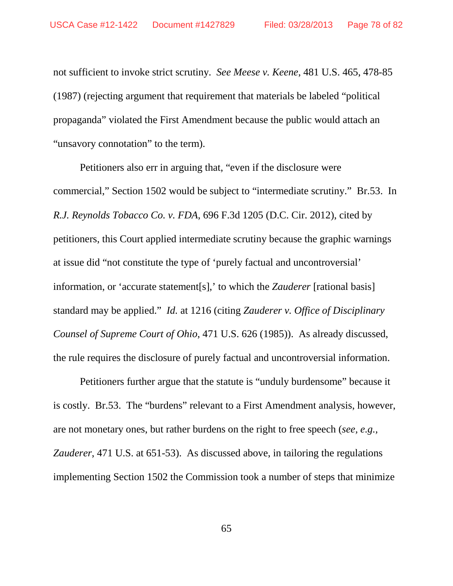not sufficient to invoke strict scrutiny. *See Meese v. Keene*, 481 U.S. 465, 478-85 (1987) (rejecting argument that requirement that materials be labeled "political propaganda" violated the First Amendment because the public would attach an "unsavory connotation" to the term).

Petitioners also err in arguing that, "even if the disclosure were commercial," Section 1502 would be subject to "intermediate scrutiny." Br.53. In *R.J. Reynolds Tobacco Co. v. FDA*, 696 F.3d 1205 (D.C. Cir. 2012), cited by petitioners, this Court applied intermediate scrutiny because the graphic warnings at issue did "not constitute the type of 'purely factual and uncontroversial' information, or 'accurate statement[s],' to which the *Zauderer* [rational basis] standard may be applied." *Id.* at 1216 (citing *Zauderer v. Office of Disciplinary Counsel of Supreme Court of Ohio*, 471 U.S. 626 (1985)). As already discussed, the rule requires the disclosure of purely factual and uncontroversial information.

Petitioners further argue that the statute is "unduly burdensome" because it is costly. Br.53. The "burdens" relevant to a First Amendment analysis, however, are not monetary ones, but rather burdens on the right to free speech (*see, e.g., Zauderer*, 471 U.S. at 651-53). As discussed above, in tailoring the regulations implementing Section 1502 the Commission took a number of steps that minimize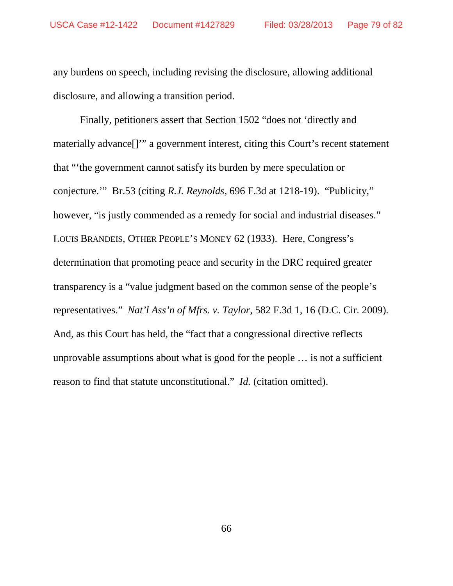any burdens on speech, including revising the disclosure, allowing additional disclosure, and allowing a transition period.

Finally, petitioners assert that Section 1502 "does not 'directly and materially advance[]'" a government interest, citing this Court's recent statement that "'the government cannot satisfy its burden by mere speculation or conjecture.'" Br.53 (citing *R.J. Reynolds*, 696 F.3d at 1218-19). "Publicity," however, "is justly commended as a remedy for social and industrial diseases." LOUIS BRANDEIS, OTHER PEOPLE'S MONEY 62 (1933). Here, Congress's determination that promoting peace and security in the DRC required greater transparency is a "value judgment based on the common sense of the people's representatives." *Nat'l Ass'n of Mfrs. v. Taylor*, 582 F.3d 1, 16 (D.C. Cir. 2009)*.* And, as this Court has held, the "fact that a congressional directive reflects unprovable assumptions about what is good for the people … is not a sufficient reason to find that statute unconstitutional." *Id.* (citation omitted).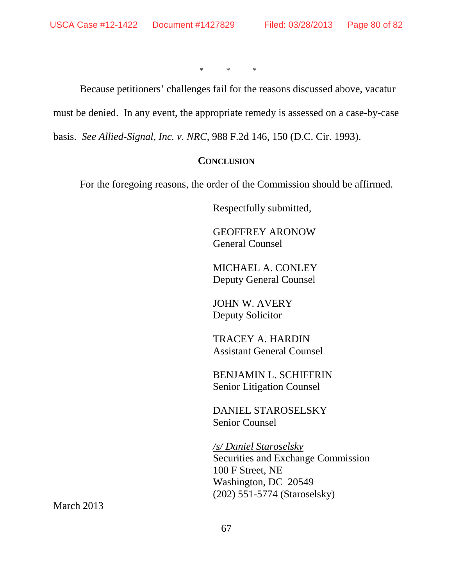\* \* \*

Because petitioners' challenges fail for the reasons discussed above, vacatur must be denied. In any event, the appropriate remedy is assessed on a case-by-case

basis. *See Allied-Signal, Inc. v. NRC*, 988 F.2d 146, 150 (D.C. Cir. 1993).

### **CONCLUSION**

For the foregoing reasons, the order of the Commission should be affirmed.

Respectfully submitted,

GEOFFREY ARONOW General Counsel

MICHAEL A. CONLEY Deputy General Counsel

JOHN W. AVERY Deputy Solicitor

TRACEY A. HARDIN Assistant General Counsel

BENJAMIN L. SCHIFFRIN Senior Litigation Counsel

DANIEL STAROSELSKY Senior Counsel

*/s/ Daniel Staroselsky*  Securities and Exchange Commission 100 F Street, NE Washington, DC 20549 (202) 551-5774 (Staroselsky)

March 2013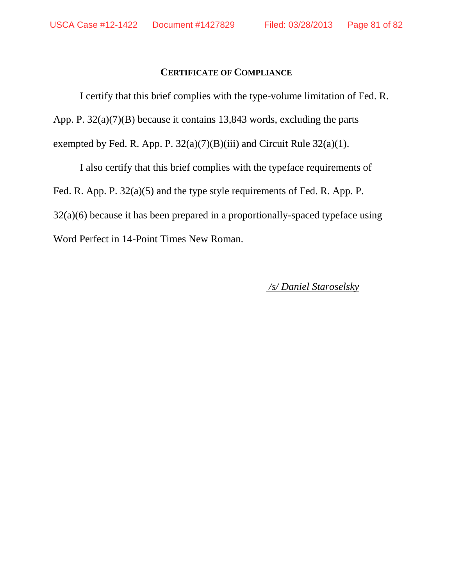## **CERTIFICATE OF COMPLIANCE**

I certify that this brief complies with the type-volume limitation of Fed. R. App. P. 32(a)(7)(B) because it contains 13,843 words, excluding the parts exempted by Fed. R. App. P.  $32(a)(7)(B)(iii)$  and Circuit Rule  $32(a)(1)$ .

I also certify that this brief complies with the typeface requirements of Fed. R. App. P. 32(a)(5) and the type style requirements of Fed. R. App. P. 32(a)(6) because it has been prepared in a proportionally-spaced typeface using Word Perfect in 14-Point Times New Roman.

*/s/ Daniel Staroselsky*